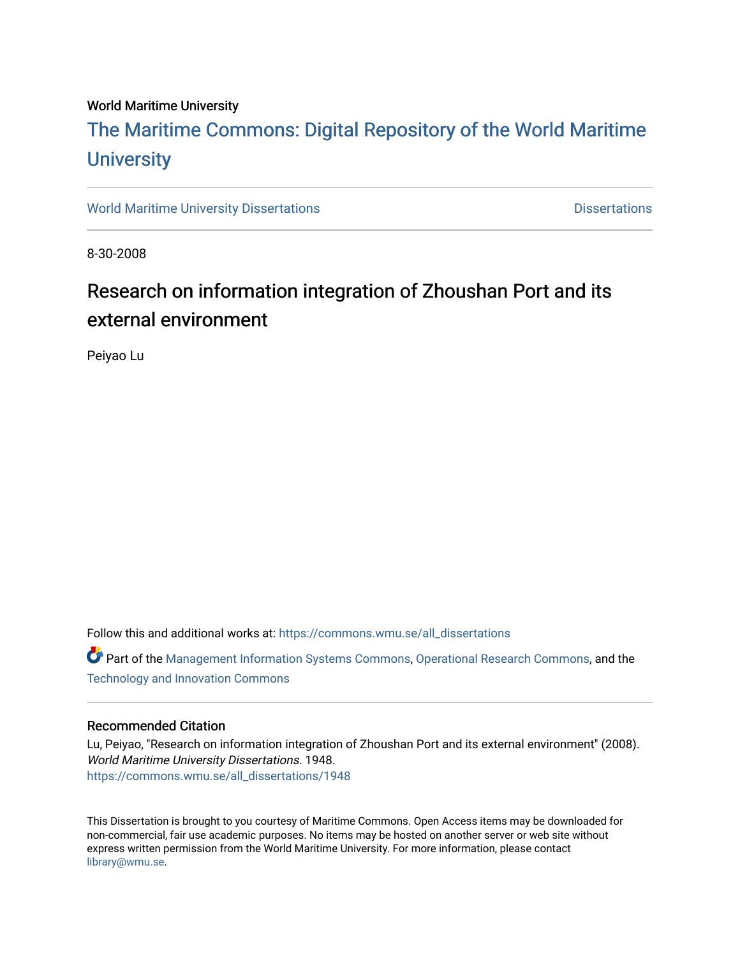#### World Maritime University

# [The Maritime Commons: Digital Repository of the World Maritime](https://commons.wmu.se/)  **University**

[World Maritime University Dissertations](https://commons.wmu.se/all_dissertations) **Distributions** [Dissertations](https://commons.wmu.se/dissertations) Dissertations

8-30-2008

# Research on information integration of Zhoushan Port and its external environment

Peiyao Lu

Follow this and additional works at: [https://commons.wmu.se/all\\_dissertations](https://commons.wmu.se/all_dissertations?utm_source=commons.wmu.se%2Fall_dissertations%2F1948&utm_medium=PDF&utm_campaign=PDFCoverPages) 

Part of the [Management Information Systems Commons,](http://network.bepress.com/hgg/discipline/636?utm_source=commons.wmu.se%2Fall_dissertations%2F1948&utm_medium=PDF&utm_campaign=PDFCoverPages) [Operational Research Commons,](http://network.bepress.com/hgg/discipline/308?utm_source=commons.wmu.se%2Fall_dissertations%2F1948&utm_medium=PDF&utm_campaign=PDFCoverPages) and the [Technology and Innovation Commons](http://network.bepress.com/hgg/discipline/644?utm_source=commons.wmu.se%2Fall_dissertations%2F1948&utm_medium=PDF&utm_campaign=PDFCoverPages) 

#### Recommended Citation

Lu, Peiyao, "Research on information integration of Zhoushan Port and its external environment" (2008). World Maritime University Dissertations. 1948. [https://commons.wmu.se/all\\_dissertations/1948](https://commons.wmu.se/all_dissertations/1948?utm_source=commons.wmu.se%2Fall_dissertations%2F1948&utm_medium=PDF&utm_campaign=PDFCoverPages)

This Dissertation is brought to you courtesy of Maritime Commons. Open Access items may be downloaded for non-commercial, fair use academic purposes. No items may be hosted on another server or web site without express written permission from the World Maritime University. For more information, please contact [library@wmu.se](mailto:library@wmu.edu).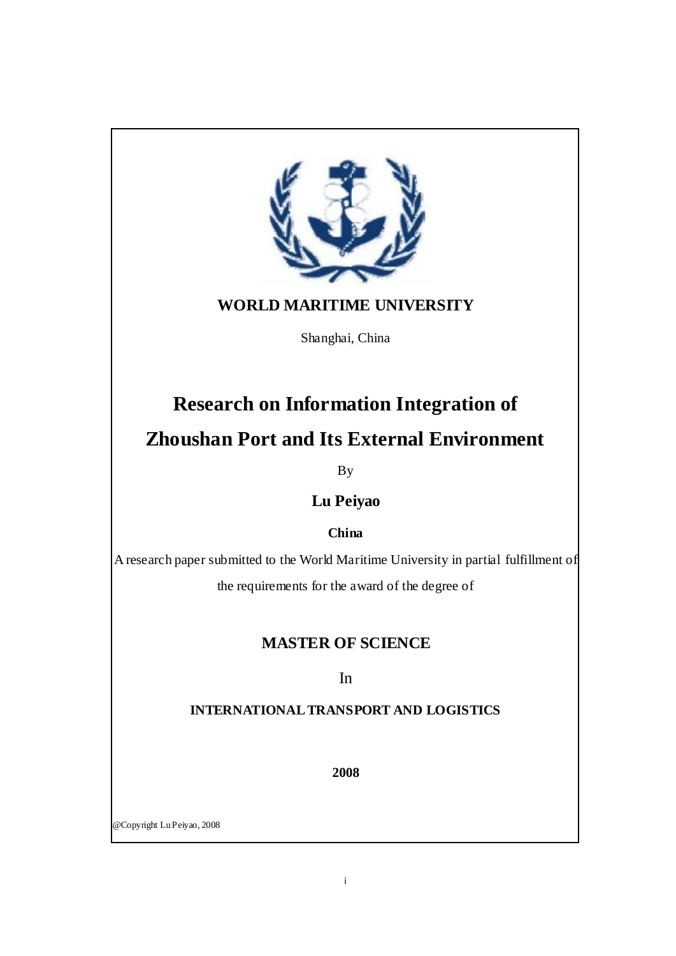<span id="page-1-0"></span>

# **WORLD MARITIME UNIVERSITY**

Shanghai, China

# **Research on Information Integration of Zhoushan Port and Its External Environment**

By

**Lu Peiyao**

**China**

A research paper submitted to the World Maritime University in partial fulfillment of the requirements for the award of the degree of

# **MASTER OF SCIENCE**

In

## **INTERNATIONAL TRANSPORT AND LOGISTICS**

**2008**

@Copyright Lu Peiyao, 2008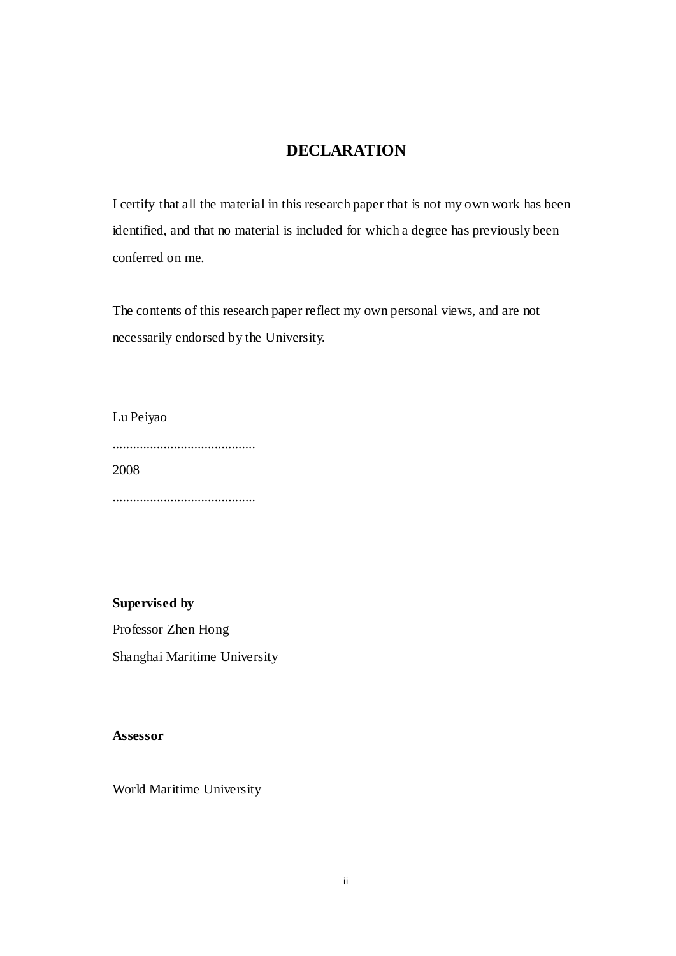## **DECLARATION**

<span id="page-2-0"></span>I certify that all the material in this research paper that is not my own work has been identified, and that no material is included for which a degree has previously been conferred on me.

The contents of this research paper reflect my own personal views, and are not necessarily endorsed by the University.

Lu Peiyao .......................................... 2008

..........................................

**Supervised by** Professor Zhen Hong Shanghai Maritime University

**Assessor**

World Maritime University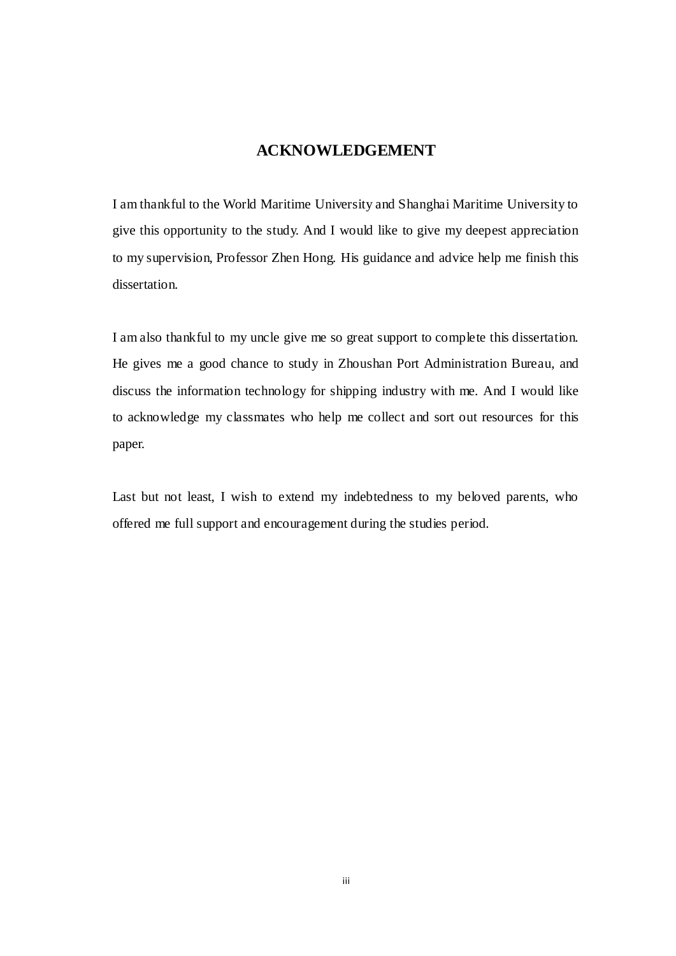## **ACKNOWLEDGEMENT**

<span id="page-3-0"></span>I am thankful to the World Maritime University and Shanghai Maritime University to give this opportunity to the study. And I would like to give my deepest appreciation to my supervision, Professor Zhen Hong. His guidance and advice help me finish this dissertation.

I am also thankful to my uncle give me so great support to complete this dissertation. He gives me a good chance to study in Zhoushan Port Administration Bureau, and discuss the information technology for shipping industry with me. And I would like to acknowledge my classmates who help me collect and sort out resources for this paper.

Last but not least, I wish to extend my indebtedness to my beloved parents, who offered me full support and encouragement during the studies period.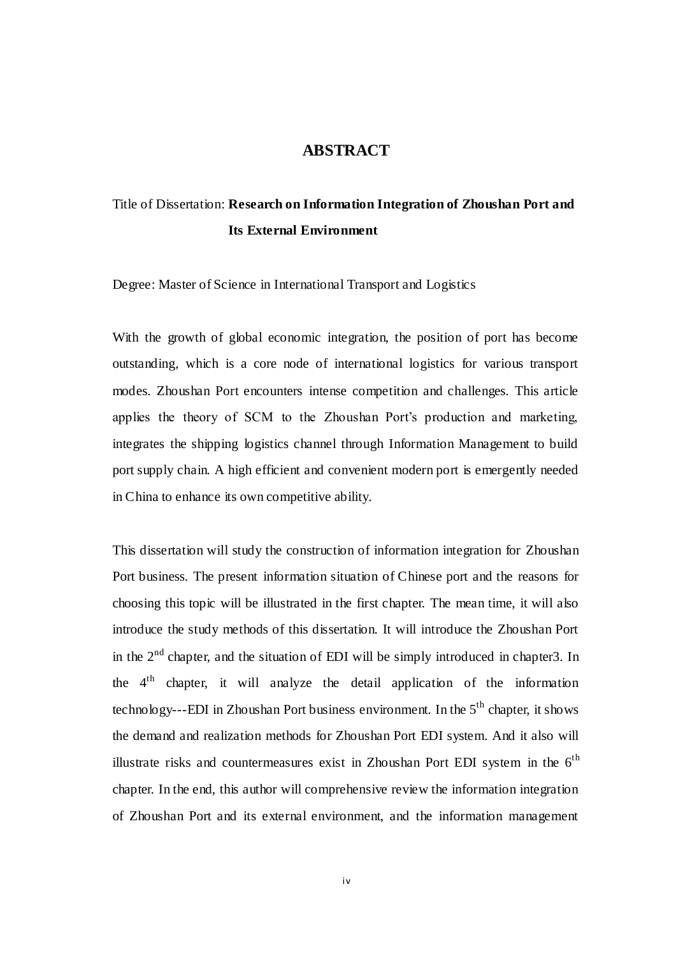## **ABSTRACT**

# Title of Dissertation: **Research on Information Integration of Zhoushan Port and Its External Environment**

Degree: Master of Science in International Transport and Logistics

With the growth of global economic integration, the position of port has become outstanding, which is a core node of international logistics for various transport modes. Zhoushan Port encounters intense competition and challenges. This article applies the theory of SCM to the Zhoushan Port's production and marketing, integrates the shipping logistics channel through Information Management to build port supply chain. A high efficient and convenient modern port is emergently needed in China to enhance its own competitive ability.

This dissertation will study the construction of information integration for Zhoushan Port business. The present information situation of Chinese port and the reasons for choosing this topic will be illustrated in the first chapter. The mean time, it will also introduce the study methods of this dissertation. It will introduce the Zhoushan Port in the  $2<sup>nd</sup>$  chapter, and the situation of EDI will be simply introduced in chapter3. In the 4th chapter, it will analyze the detail application of the information technology---EDI in Zhoushan Port business environment. In the  $5<sup>th</sup>$  chapter, it shows the demand and realization methods for Zhoushan Port EDI system. And it also will illustrate risks and countermeasures exist in Zhoushan Port EDI system in the  $6<sup>th</sup>$ chapter. In the end, this author will comprehensive review the information integration of Zhoushan Port and its external environment, and the information management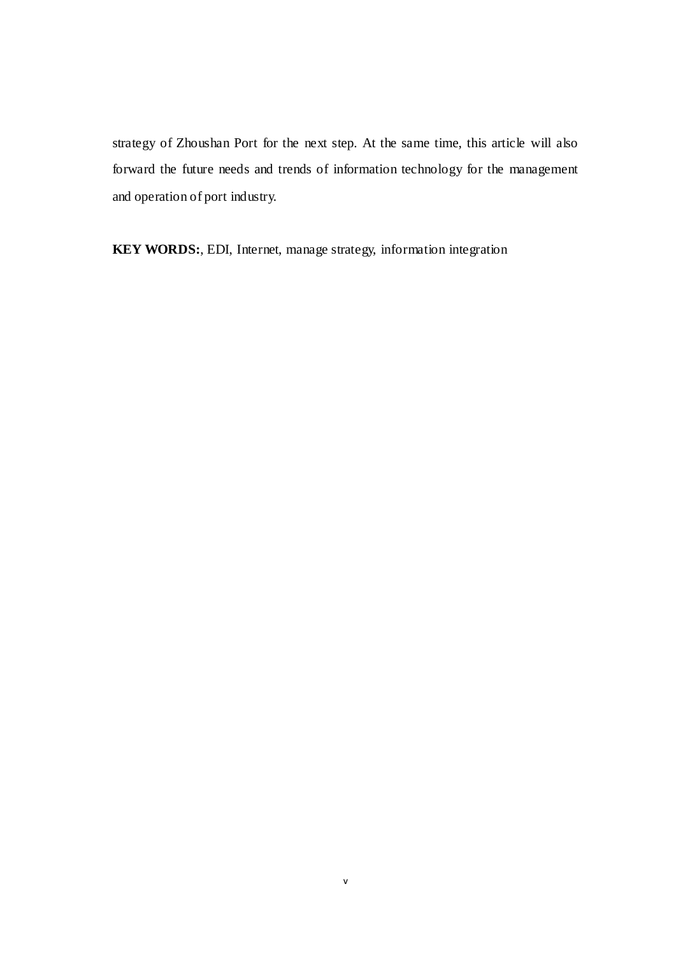<span id="page-5-0"></span>strategy of Zhoushan Port for the next step. At the same time, this article will also forward the future needs and trends of information technology for the management and operation of port industry.

**KEY WORDS:**, EDI, Internet, manage strategy, information integration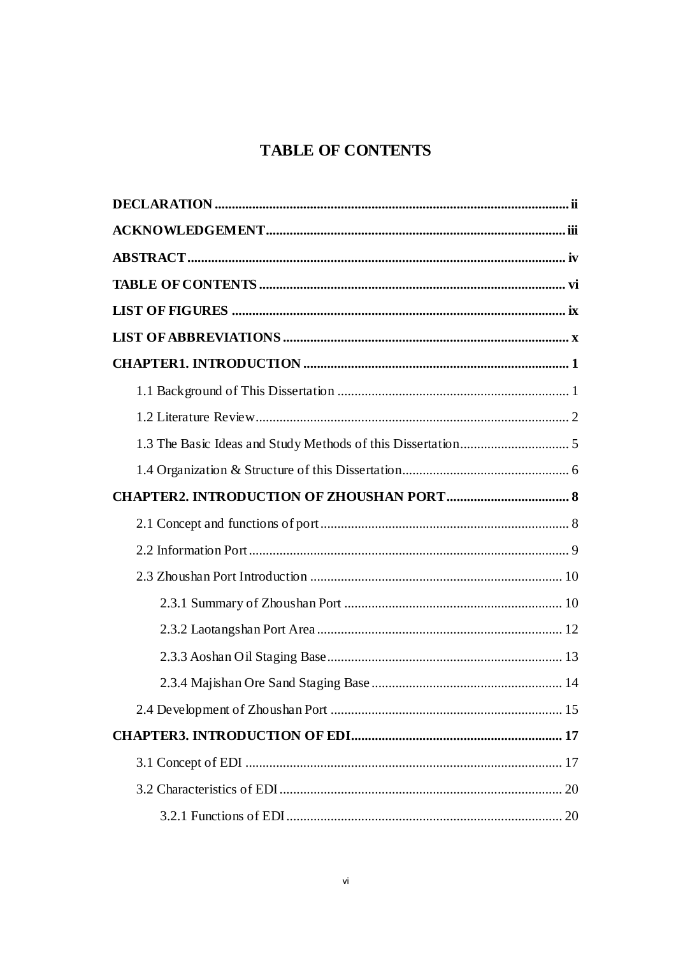# **TABLE OF CONTENTS**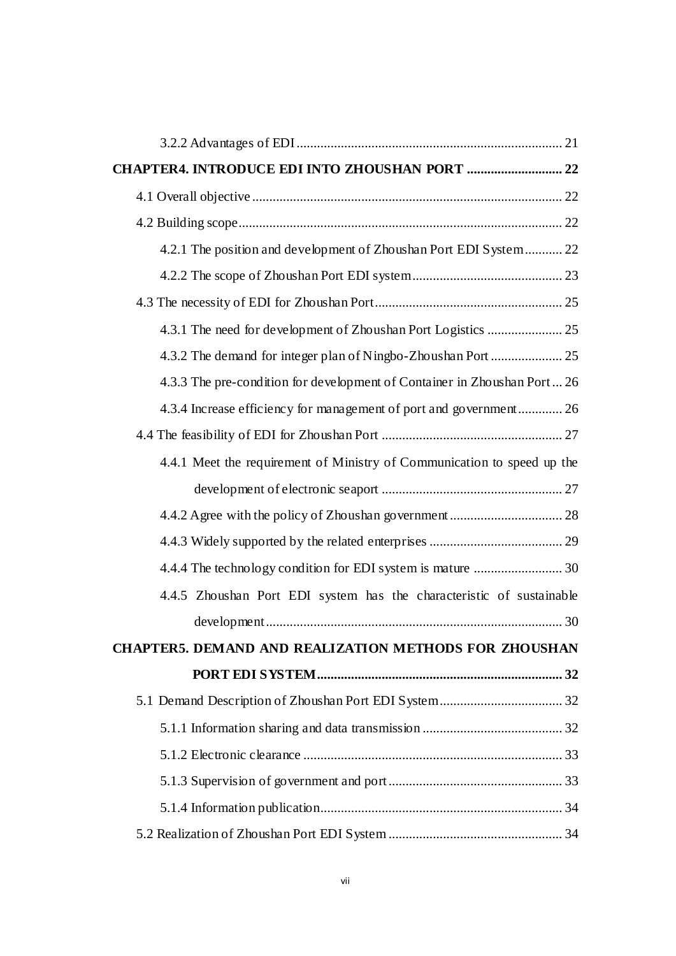| 4.2.1 The position and development of Zhoushan Port EDI System 22         |  |
|---------------------------------------------------------------------------|--|
|                                                                           |  |
|                                                                           |  |
|                                                                           |  |
|                                                                           |  |
| 4.3.3 The pre-condition for development of Container in Zhoushan Port  26 |  |
| 4.3.4 Increase efficiency for management of port and government 26        |  |
|                                                                           |  |
| 4.4.1 Meet the requirement of Ministry of Communication to speed up the   |  |
|                                                                           |  |
|                                                                           |  |
|                                                                           |  |
|                                                                           |  |
| 4.4.5 Zhoushan Port EDI system has the characteristic of sustainable      |  |
|                                                                           |  |
| <b>CHAPTER5. DEMAND AND REALIZATION METHODS FOR ZHOUSHAN</b>              |  |
|                                                                           |  |
|                                                                           |  |
|                                                                           |  |
|                                                                           |  |
|                                                                           |  |
|                                                                           |  |
|                                                                           |  |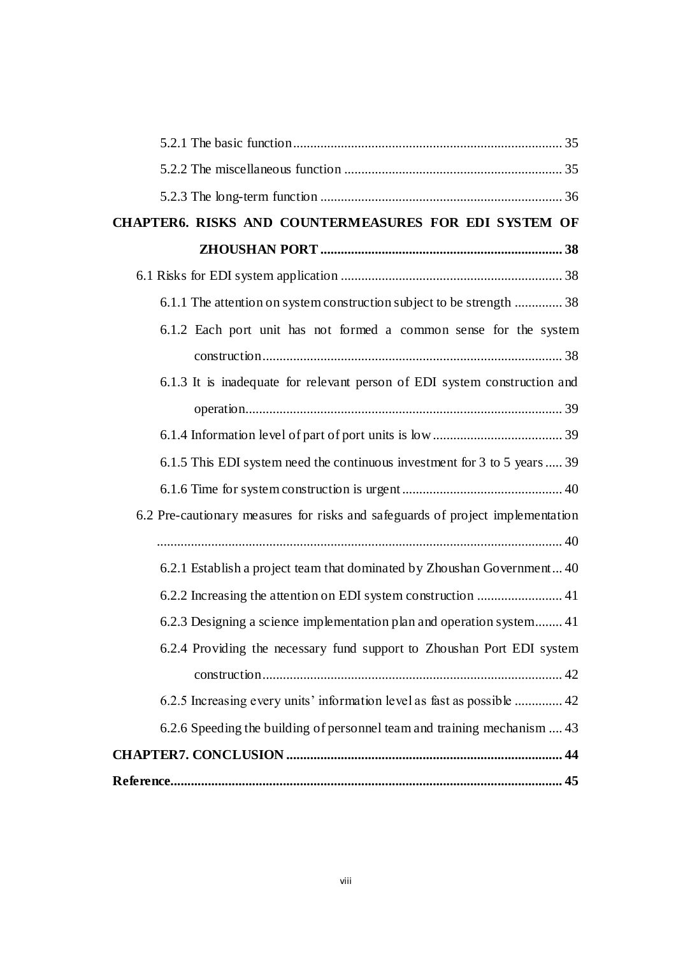<span id="page-8-0"></span>

| CHAPTER6. RISKS AND COUNTERMEASURES FOR EDI SYSTEM OF                          |
|--------------------------------------------------------------------------------|
|                                                                                |
|                                                                                |
| 6.1.1 The attention on system construction subject to be strength  38          |
| 6.1.2 Each port unit has not formed a common sense for the system              |
|                                                                                |
| 6.1.3 It is inadequate for relevant person of EDI system construction and      |
|                                                                                |
|                                                                                |
| 6.1.5 This EDI system need the continuous investment for 3 to 5 years  39      |
|                                                                                |
| 6.2 Pre-cautionary measures for risks and safeguards of project implementation |
|                                                                                |
| 6.2.1 Establish a project team that dominated by Zhoushan Government 40        |
| 6.2.2 Increasing the attention on EDI system construction  41                  |
| 6.2.3 Designing a science implementation plan and operation system 41          |
| 6.2.4 Providing the necessary fund support to Zhoushan Port EDI system         |
|                                                                                |
| 6.2.5 Increasing every units' information level as fast as possible  42        |
| 6.2.6 Speeding the building of personnel team and training mechanism  43       |
|                                                                                |
|                                                                                |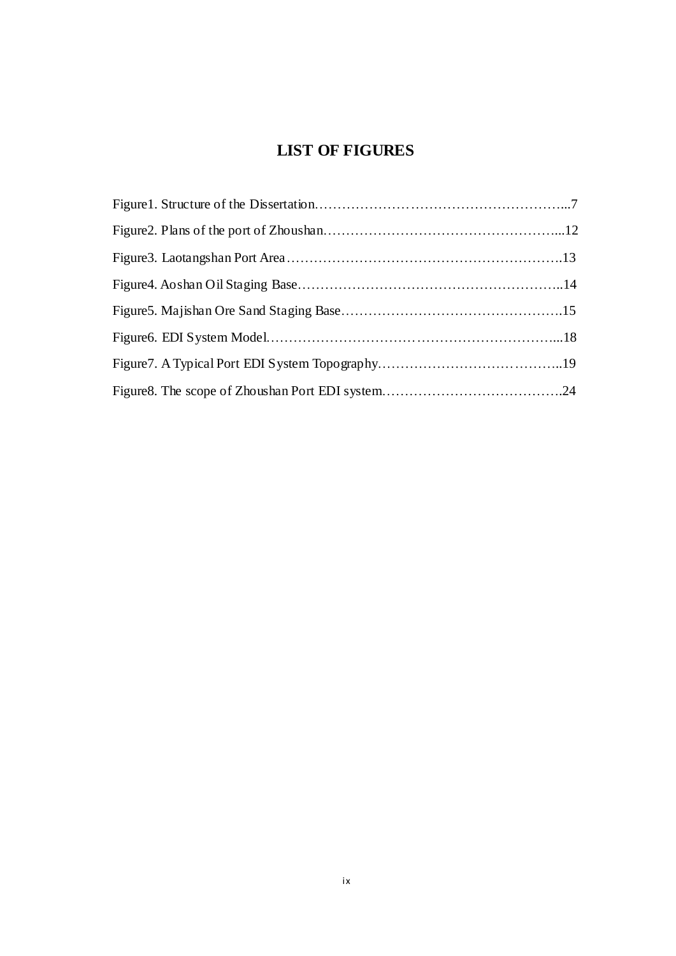# **LIST OF FIGURES**

<span id="page-9-0"></span>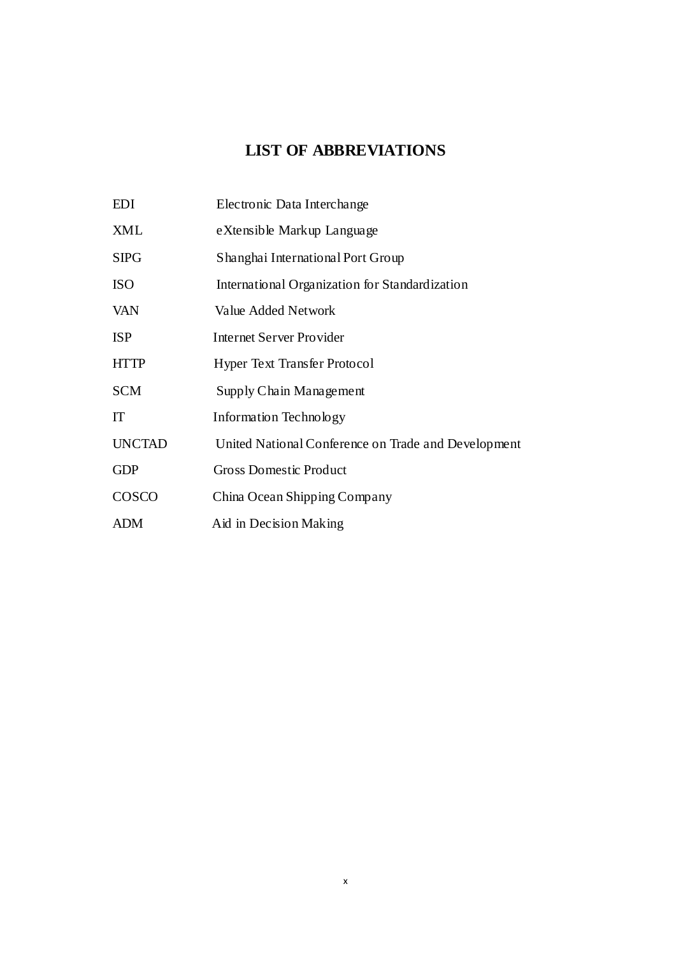# **LIST OF ABBREVIATIONS**

<span id="page-10-1"></span><span id="page-10-0"></span>

| EDI           | Electronic Data Interchange                         |
|---------------|-----------------------------------------------------|
| <b>XML</b>    | eXtensible Markup Language                          |
| <b>SIPG</b>   | Shanghai International Port Group                   |
| <b>ISO</b>    | International Organization for Standardization      |
| <b>VAN</b>    | Value Added Network                                 |
| <b>ISP</b>    | Internet Server Provider                            |
| <b>HTTP</b>   | <b>Hyper Text Transfer Protocol</b>                 |
| <b>SCM</b>    | Supply Chain Management                             |
| IT            | Information Technology                              |
| <b>UNCTAD</b> | United National Conference on Trade and Development |
| <b>GDP</b>    | <b>Gross Domestic Product</b>                       |
| COSCO         | China Ocean Shipping Company                        |
| <b>ADM</b>    | Aid in Decision Making                              |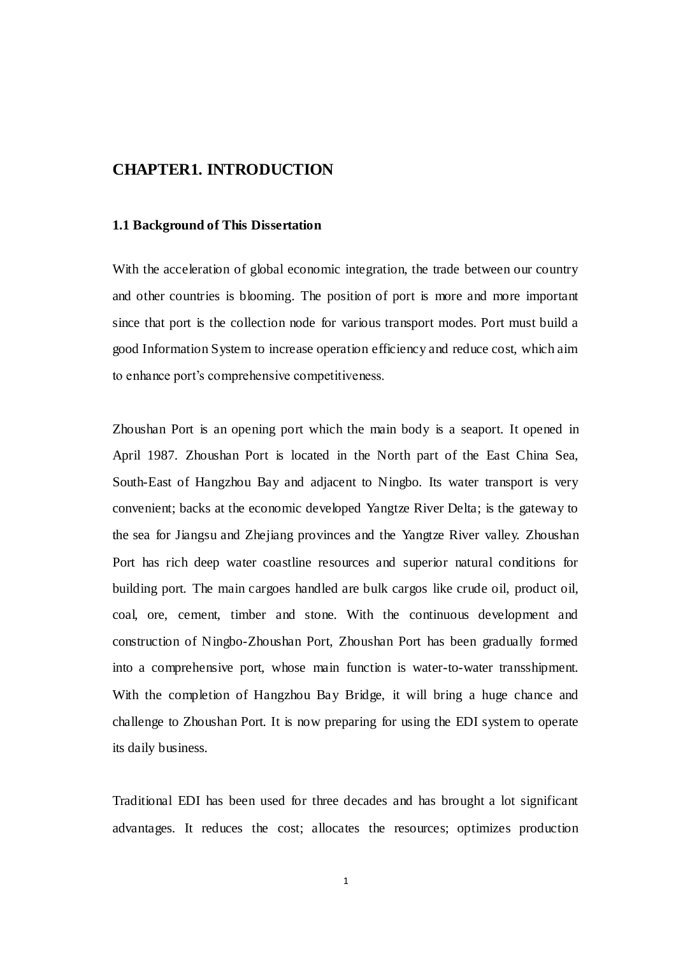## **CHAPTER1. INTRODUCTION**

#### **1.1 Background of This Dissertation**

With the acceleration of global economic integration, the trade between our country and other countries is blooming. The position of port is more and more important since that port is the collection node for various transport modes. Port must build a good Information System to increase operation efficiency and reduce cost, which aim to enhance port's comprehensive competitiveness.

Zhoushan Port is an opening port which the main body is a seaport. It opened in April 1987. Zhoushan Port is located in the North part of the East China Sea, South-East of Hangzhou Bay and adjacent to Ningbo. Its water transport is very convenient; backs at the economic developed Yangtze River Delta; is the gateway to the sea for Jiangsu and Zhejiang provinces and the Yangtze River valley. Zhoushan Port has rich deep water coastline resources and superior natural conditions for building port. The main cargoes handled are bulk cargos like crude oil, product oil, coal, ore, cement, timber and stone. With the continuous development and construction of Ningbo-Zhoushan Port, Zhoushan Port has been gradually formed into a comprehensive port, whose main function is water-to-water transshipment. With the completion of Hangzhou Bay Bridge, it will bring a huge chance and challenge to Zhoushan Port. It is now preparing for using the EDI system to operate its daily business.

<span id="page-11-0"></span>Traditional EDI has been used for three decades and has brought a lot significant advantages. It reduces the cost; allocates the resources; optimizes production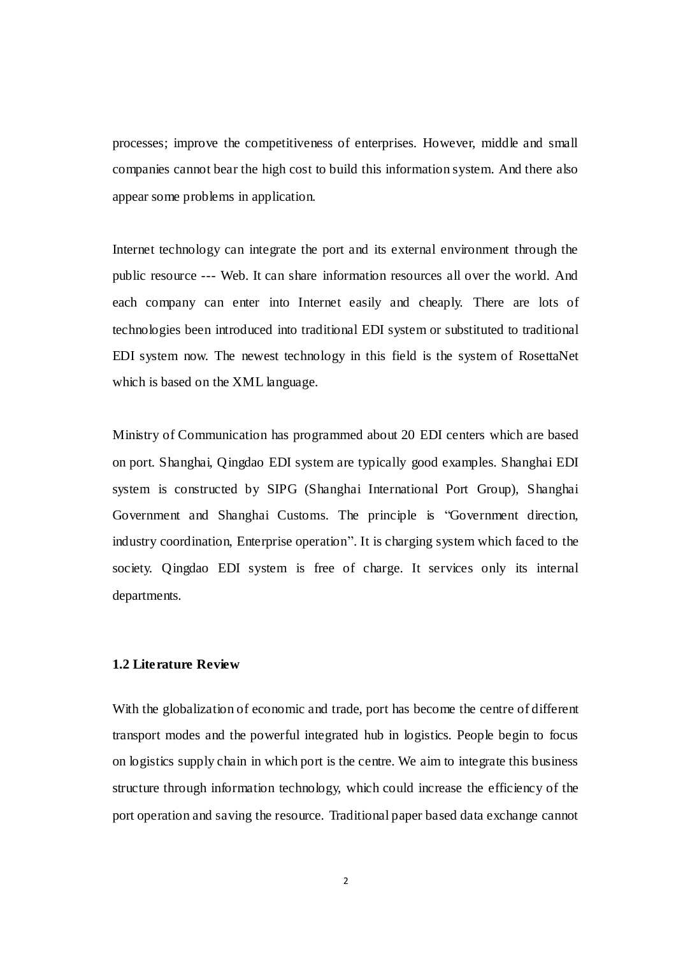processes; improve the competitiveness of enterprises. However, middle and small companies cannot bear the high cost to build this information system. And there also appear some problems in application.

Internet technology can integrate the port and its external environment through the public resource --- Web. It can share information resources all over the world. And each company can enter into Internet easily and cheaply. There are lots of technologies been introduced into traditional EDI system or substituted to traditional EDI system now. The newest technology in this field is the system of RosettaNet which is based on the XML language.

Ministry of Communication has programmed about 20 EDI centers which are based on port. Shanghai, Qingdao EDI system are typically good examples. Shanghai EDI system is constructed by SIPG (Shanghai International Port Group), Shanghai Government and Shanghai Customs. The principle is "Government direction, industry coordination, Enterprise operation". It is charging system which faced to the society. Qingdao EDI system is free of charge. It services only its internal departments.

## **1.2 Literature Review**

With the globalization of economic and trade, port has become the centre of different transport modes and the powerful integrated hub in logistics. People begin to focus on logistics supply chain in which port is the centre. We aim to integrate this business structure through information technology, which could increase the efficiency of the port operation and saving the resource. Traditional paper based data exchange cannot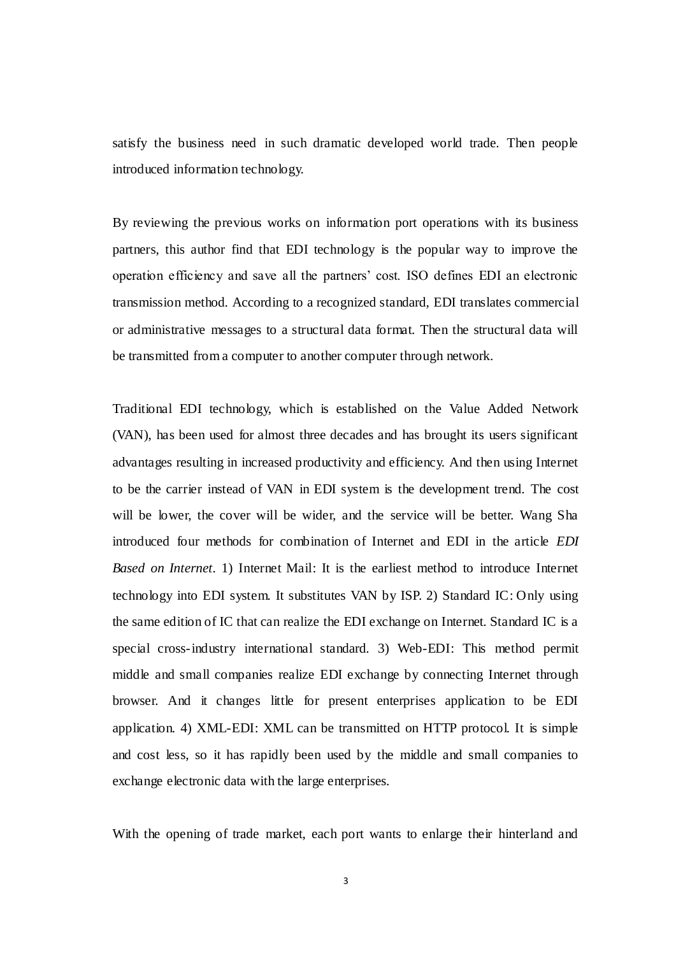satisfy the business need in such dramatic developed world trade. Then people introduced information technology.

By reviewing the previous works on information port operations with its business partners, this author find that EDI technology is the popular way to improve the operation efficiency and save all the partners' cost. ISO defines EDI an electronic transmission method. According to a recognized standard, EDI translates commercial or administrative messages to a structural data format. Then the structural data will be transmitted from a computer to another computer through network.

Traditional EDI technology, which is established on the Value Added Network (VAN), has been used for almost three decades and has brought its users significant advantages resulting in increased productivity and efficiency. And then using Internet to be the carrier instead of VAN in EDI system is the development trend. The cost will be lower, the cover will be wider, and the service will be better. Wang Sha introduced four methods for combination of Internet and EDI in the article *EDI Based on Internet.* 1) Internet Mail: It is the earliest method to introduce Internet technology into EDI system. It substitutes VAN by ISP. 2) Standard IC: Only using the same edition of IC that can realize the EDI exchange on Internet. Standard IC is a special cross-industry international standard. 3) Web-EDI: This method permit middle and small companies realize EDI exchange by connecting Internet through browser. And it changes little for present enterprises application to be EDI application. 4) XML-EDI: XML can be transmitted on HTTP protocol. It is simple and cost less, so it has rapidly been used by the middle and small companies to exchange electronic data with the large enterprises.

With the opening of trade market, each port wants to enlarge their hinterland and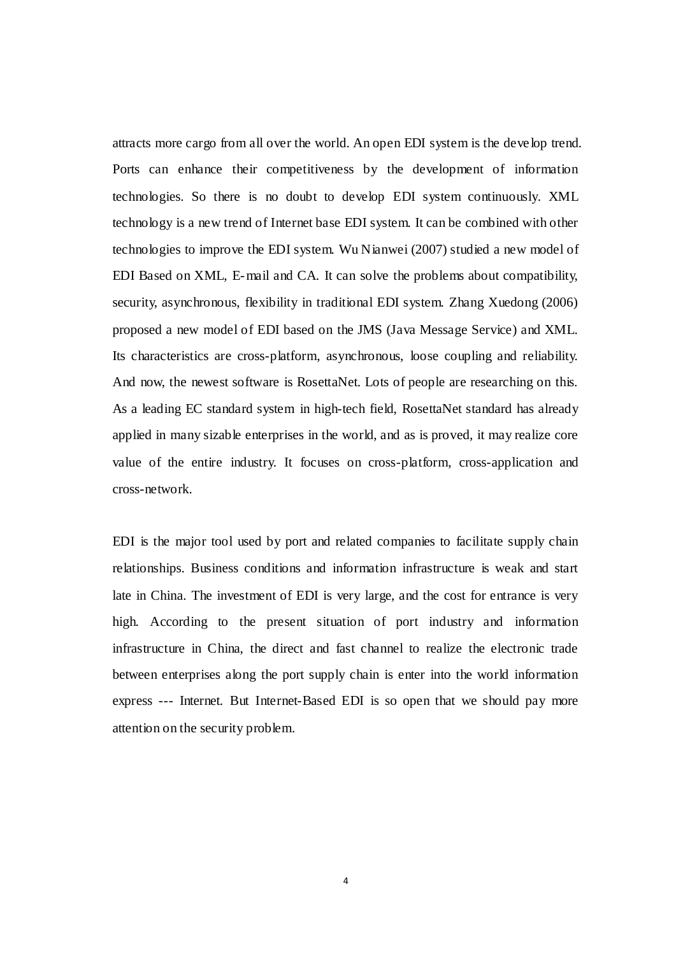<span id="page-14-0"></span>attracts more cargo from all over the world. An open EDI system is the deve lop trend. Ports can enhance their competitiveness by the development of information technologies. So there is no doubt to develop EDI system continuously. XML technology is a new trend of Internet base EDI system. It can be combined with other technologies to improve the EDI system. Wu Nianwei (2007) studied a new model of EDI Based on XML, E-mail and CA. It can solve the problems about compatibility, security, asynchronous, flexibility in traditional EDI system. Zhang Xuedong (2006) proposed a new model of EDI based on the JMS (Java Message Service) and XML. Its characteristics are cross-platform, asynchronous, loose coupling and reliability. And now, the newest software is RosettaNet. Lots of people are researching on this. As a leading EC standard system in high-tech field, RosettaNet standard has already applied in many sizable enterprises in the world, and as is proved, it may realize core value of the entire industry. It focuses on cross-platform, cross-application and cross-network.

EDI is the major tool used by port and related companies to facilitate supply chain relationships. Business conditions and information infrastructure is weak and start late in China. The investment of EDI is very large, and the cost for entrance is very high. According to the present situation of port industry and information infrastructure in China, the direct and fast channel to realize the electronic trade between enterprises along the port supply chain is enter into the world information express --- Internet. But Internet-Based EDI is so open that we should pay more attention on the security problem.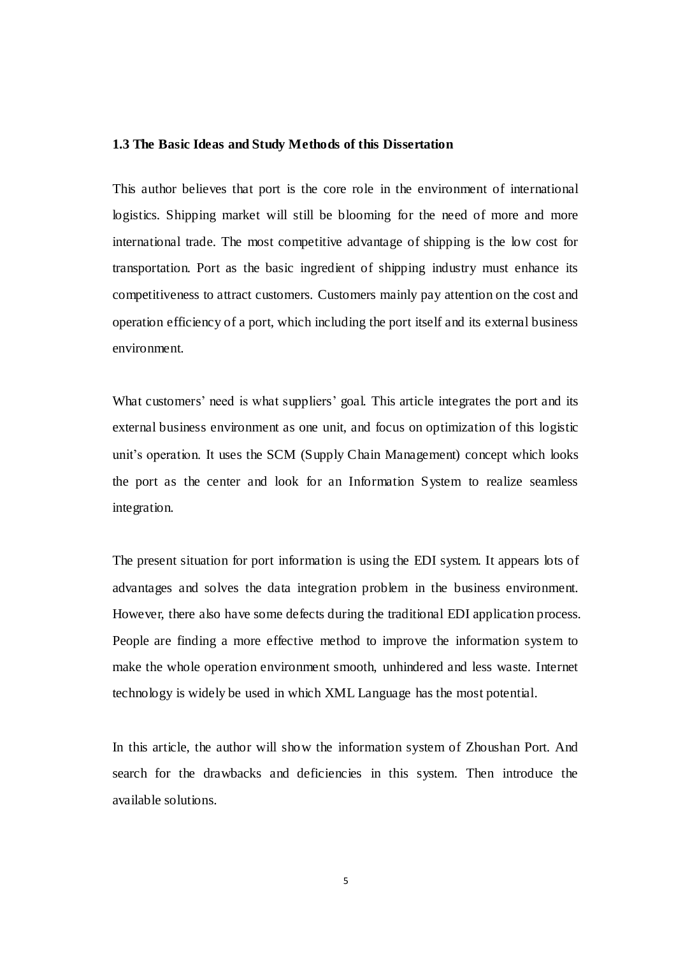#### <span id="page-15-0"></span>**1.3 The Basic Ideas and Study Methods of this Dissertation**

This author believes that port is the core role in the environment of international logistics. Shipping market will still be blooming for the need of more and more international trade. The most competitive advantage of shipping is the low cost for transportation. Port as the basic ingredient of shipping industry must enhance its competitiveness to attract customers. Customers mainly pay attention on the cost and operation efficiency of a port, which including the port itself and its external business environment.

What customers' need is what suppliers' goal. This article integrates the port and its external business environment as one unit, and focus on optimization of this logistic unit's operation. It uses the SCM (Supply Chain Management) concept which looks the port as the center and look for an Information System to realize seamless integration.

The present situation for port information is using the EDI system. It appears lots of advantages and solves the data integration problem in the business environment. However, there also have some defects during the traditional EDI application process. People are finding a more effective method to improve the information system to make the whole operation environment smooth, unhindered and less waste. Internet technology is widely be used in which XML Language has the most potential.

In this article, the author will show the information system of Zhoushan Port. And search for the drawbacks and deficiencies in this system. Then introduce the available solutions.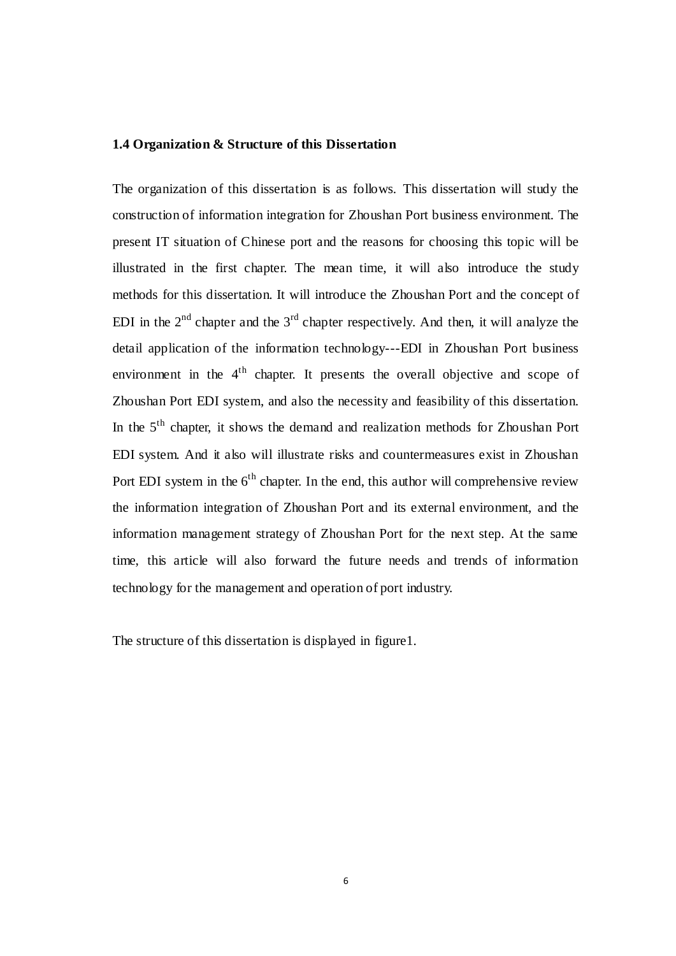#### **1.4 Organization & Structure of this Dissertation**

The organization of this dissertation is as follows. This dissertation will study the construction of information integration for Zhoushan Port business environment. The present IT situation of Chinese port and the reasons for choosing this topic will be illustrated in the first chapter. The mean time, it will also introduce the study methods for this dissertation. It will introduce the Zhoushan Port and the concept of EDI in the  $2<sup>nd</sup>$  chapter and the  $3<sup>rd</sup>$  chapter respectively. And then, it will analyze the detail application of the information technology---EDI in Zhoushan Port business environment in the 4<sup>th</sup> chapter. It presents the overall objective and scope of Zhoushan Port EDI system, and also the necessity and feasibility of this dissertation. In the 5th chapter, it shows the demand and realization methods for Zhoushan Port EDI system. And it also will illustrate risks and countermeasures exist in Zhoushan Port EDI system in the  $6<sup>th</sup>$  chapter. In the end, this author will comprehensive review the information integration of Zhoushan Port and its external environment, and the information management strategy of Zhoushan Port for the next step. At the same time, this article will also forward the future needs and trends of information technology for the management and operation of port industry.

The structure of this dissertation is displayed in figure1.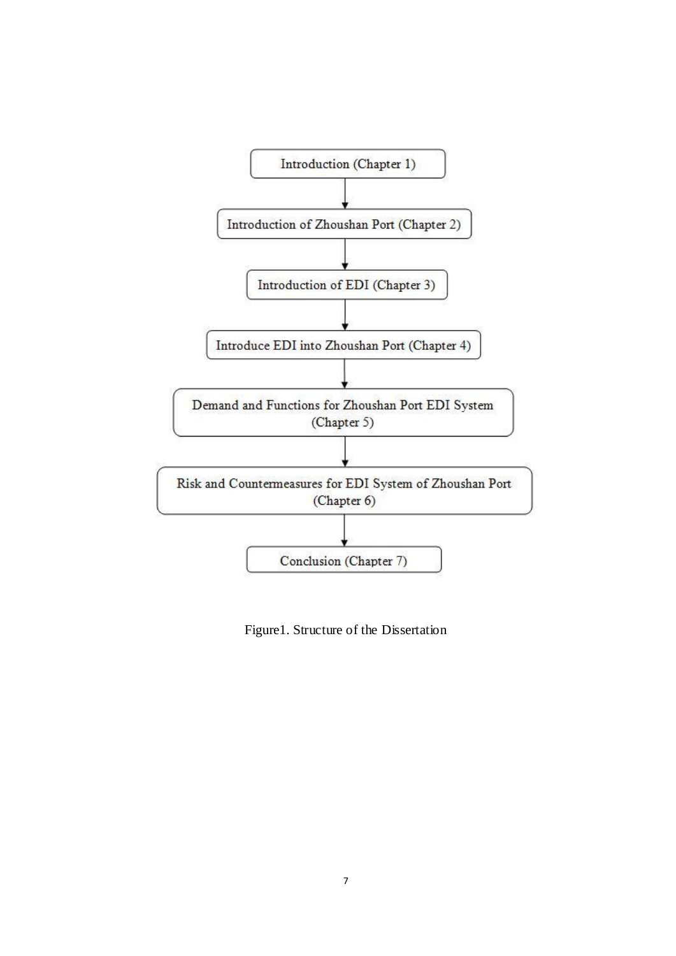<span id="page-17-1"></span><span id="page-17-0"></span>

Figure1. Structure of the Dissertation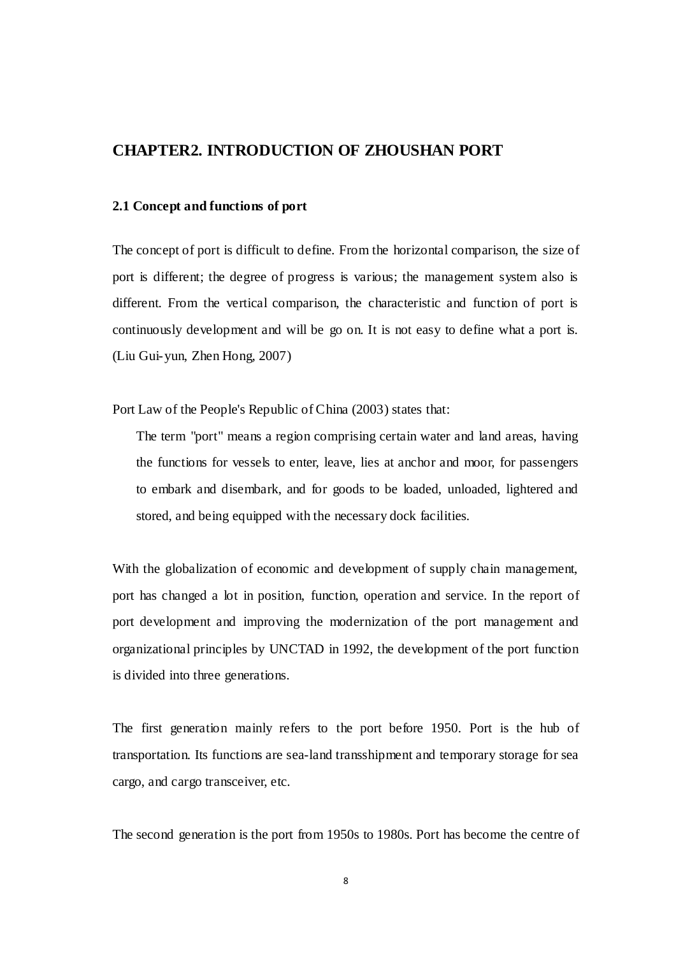## **CHAPTER2. INTRODUCTION OF ZHOUSHAN PORT**

### **2.1 Concept and functions of port**

The concept of port is difficult to define. From the horizontal comparison, the size of port is different; the degree of progress is various; the management system also is different. From the vertical comparison, the characteristic and function of port is continuously development and will be go on. It is not easy to define what a port is. (Liu Gui-yun, Zhen Hong, 2007)

Port Law of the People's Republic of China (2003) states that:

The term "port" means a region comprising certain water and land areas, having the functions for vessels to enter, leave, lies at anchor and moor, for passengers to embark and disembark, and for goods to be loaded, unloaded, lightered and stored, and being equipped with the necessary dock facilities.

<span id="page-18-0"></span>With the globalization of economic and development of supply chain management, port has changed a lot in position, function, operation and service. In the report of port development and improving the modernization of the port management and organizational principles by UNCTAD in 1992, the development of the port function is divided into three generations.

The first generation mainly refers to the port before 1950. Port is the hub of transportation. Its functions are sea-land transshipment and temporary storage for sea cargo, and cargo transceiver, etc.

The second generation is the port from 1950s to 1980s. Port has become the centre of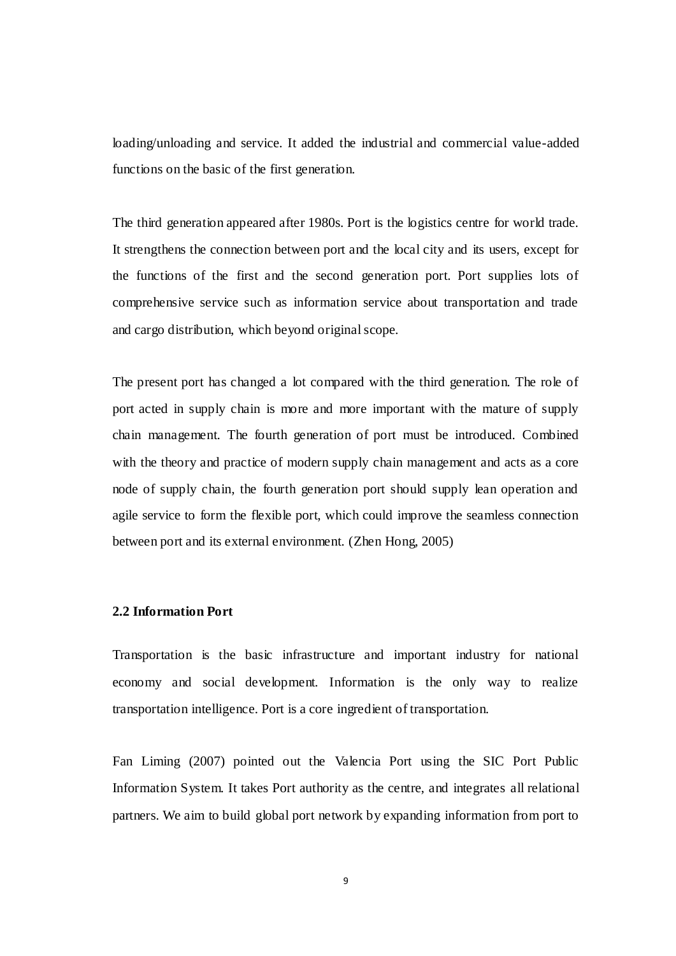loading/unloading and service. It added the industrial and commercial value-added functions on the basic of the first generation.

The third generation appeared after 1980s. Port is the logistics centre for world trade. It strengthens the connection between port and the local city and its users, except for the functions of the first and the second generation port. Port supplies lots of comprehensive service such as information service about transportation and trade and cargo distribution, which beyond original scope.

<span id="page-19-1"></span><span id="page-19-0"></span>The present port has changed a lot compared with the third generation. The role of port acted in supply chain is more and more important with the mature of supply chain management. The fourth generation of port must be introduced. Combined with the theory and practice of modern supply chain management and acts as a core node of supply chain, the fourth generation port should supply lean operation and agile service to form the flexible port, which could improve the seamless connection between port and its external environment. (Zhen Hong, 2005)

#### **2.2 Information Port**

Transportation is the basic infrastructure and important industry for national economy and social development. Information is the only way to realize transportation intelligence. Port is a core ingredient of transportation.

Fan Liming (2007) pointed out the Valencia Port using the SIC Port Public Information System. It takes Port authority as the centre, and integrates all relational partners. We aim to build global port network by expanding information from port to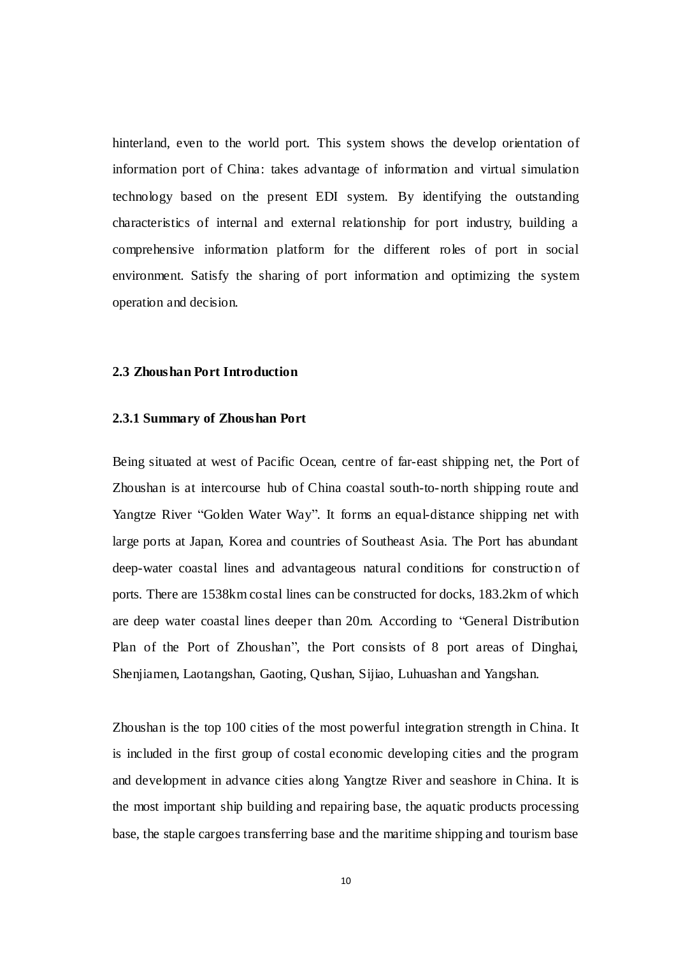hinterland, even to the world port. This system shows the develop orientation of information port of China: takes advantage of information and virtual simulation technology based on the present EDI system. By identifying the outstanding characteristics of internal and external relationship for port industry, building a comprehensive information platform for the different roles of port in social environment. Satisfy the sharing of port information and optimizing the system operation and decision.

#### **2.3 Zhoushan Port Introduction**

#### **2.3.1 Summary of Zhoushan Port**

Being situated at west of Pacific Ocean, centre of far-east shipping net, the Port of Zhoushan is at intercourse hub of China coastal south-to-north shipping route and Yangtze River "Golden Water Way". It forms an equal-distance shipping net with large ports at Japan, Korea and countries of Southeast Asia. The Port has abundant deep-water coastal lines and advantageous natural conditions for construction of ports. There are 1538km costal lines can be constructed for docks, 183.2km of which are deep water coastal lines deeper than 20m. According to "General Distribution Plan of the Port of Zhoushan", the Port consists of 8 port areas of Dinghai, Shenjiamen, Laotangshan, Gaoting, Qushan, Sijiao, Luhuashan and Yangshan.

Zhoushan is the top 100 cities of the most powerful integration strength in China. It is included in the first group of costal economic developing cities and the program and development in advance cities along Yangtze River and seashore in China. It is the most important ship building and repairing base, the aquatic products processing base, the staple cargoes transferring base and the maritime shipping and tourism base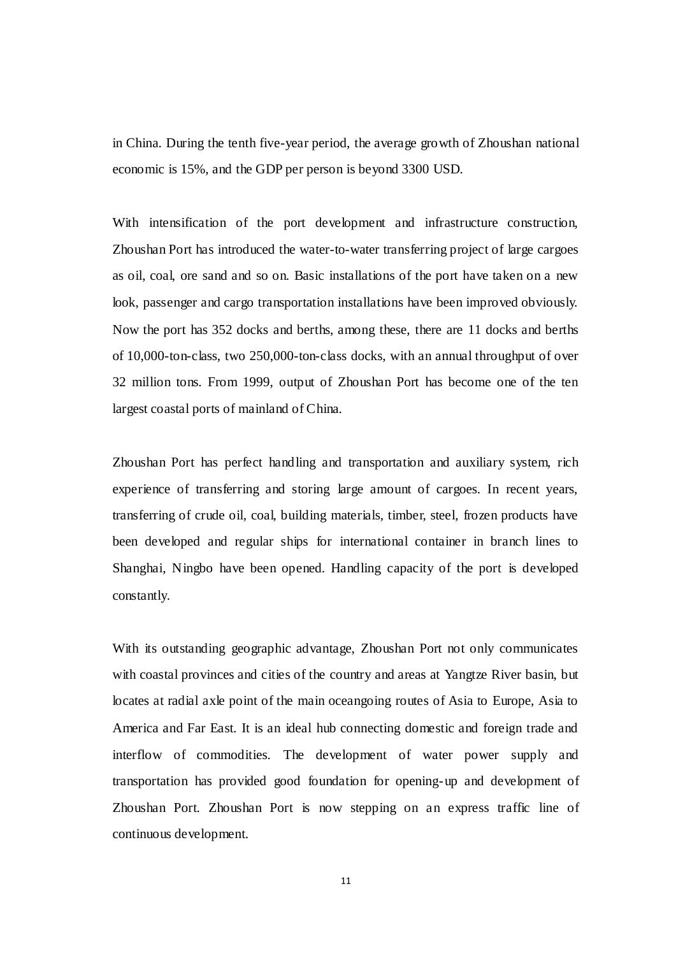in China. During the tenth five-year period, the average growth of Zhoushan national economic is 15%, and the GDP per person is beyond 3300 USD.

With intensification of the port development and infrastructure construction, Zhoushan Port has introduced the water-to-water transferring project of large cargoes as oil, coal, ore sand and so on. Basic installations of the port have taken on a new look, passenger and cargo transportation installations have been improved obviously. Now the port has 352 docks and berths, among these, there are 11 docks and berths of 10,000-ton-class, two 250,000-ton-class docks, with an annual throughput of over 32 million tons. From 1999, output of Zhoushan Port has become one of the ten largest coastal ports of mainland of China.

Zhoushan Port has perfect handling and transportation and auxiliary system, rich experience of transferring and storing large amount of cargoes. In recent years, transferring of crude oil, coal, building materials, timber, steel, frozen products have been developed and regular ships for international container in branch lines to Shanghai, Ningbo have been opened. Handling capacity of the port is developed constantly.

<span id="page-21-0"></span>With its outstanding geographic advantage, Zhoushan Port not only communicates with coastal provinces and cities of the country and areas at Yangtze River basin, but locates at radial axle point of the main oceangoing routes of Asia to Europe, Asia to America and Far East. It is an ideal hub connecting domestic and foreign trade and interflow of commodities. The development of water power supply and transportation has provided good foundation for opening-up and development of Zhoushan Port. Zhoushan Port is now stepping on an express traffic line of continuous development.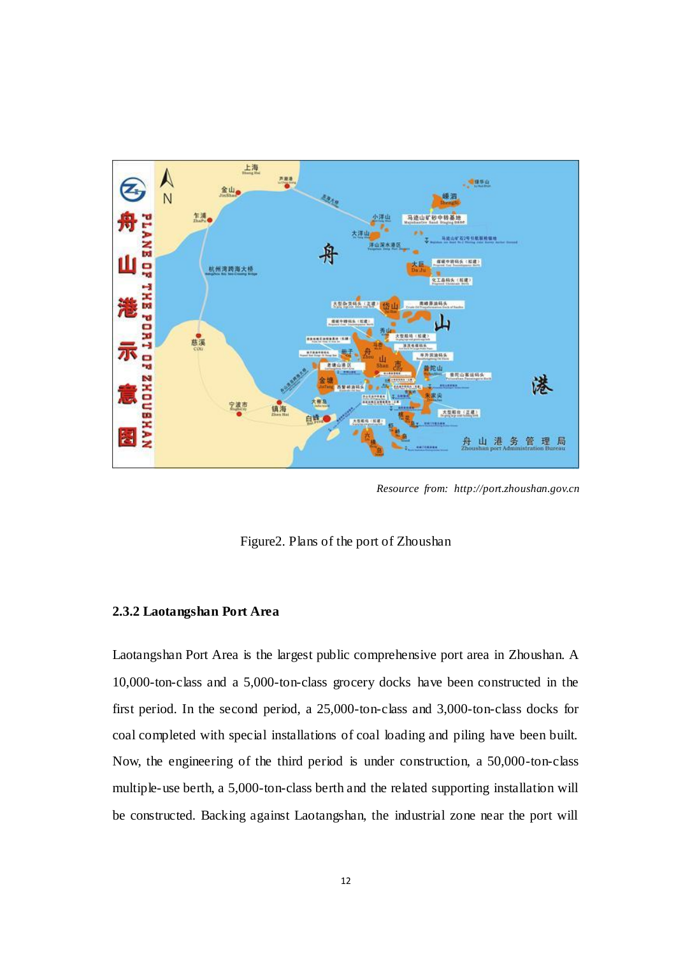

*Resource from: http://port.zhoushan.gov.cn*

Figure2. Plans of the port of Zhoushan

#### <span id="page-22-0"></span>**2.3.2 Laotangshan Port Area**

Laotangshan Port Area is the largest public comprehensive port area in Zhoushan. A 10,000-ton-class and a 5,000-ton-class grocery docks have been constructed in the first period. In the second period, a 25,000-ton-class and 3,000-ton-class docks for coal completed with special installations of coal loading and piling have been built. Now, the engineering of the third period is under construction, a 50,000-ton-class multiple-use berth, a 5,000-ton-class berth and the related supporting installation will be constructed. Backing against Laotangshan, the industrial zone near the port will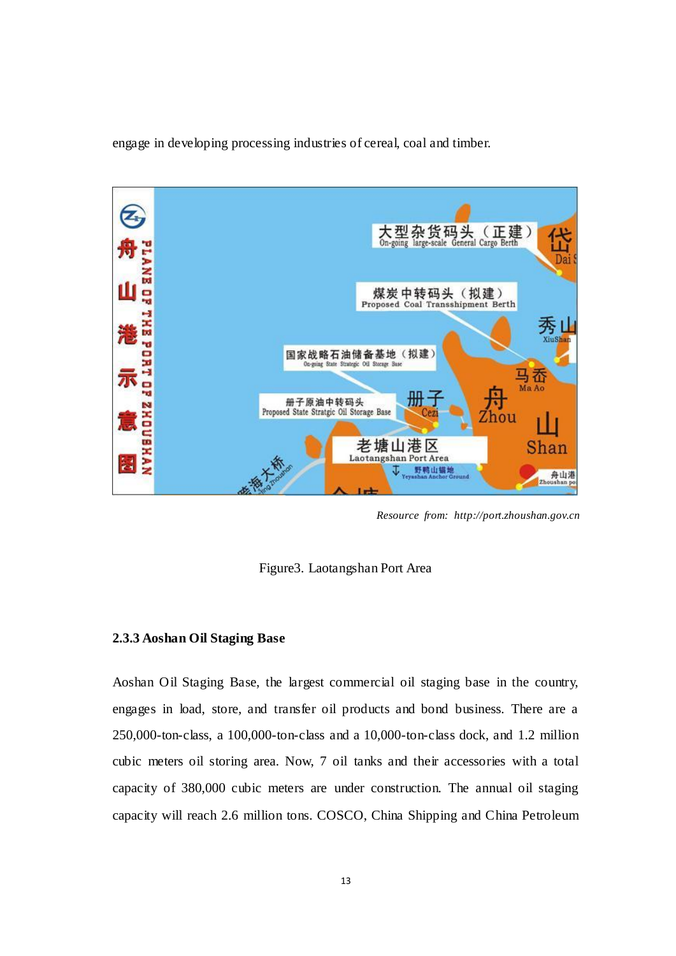engage in developing processing industries of cereal, coal and timber.



*Resource from: http://port.zhoushan.gov.cn*

Figure3. Laotangshan Port Area

#### **2.3.3 Aoshan Oil Staging Base**

<span id="page-23-0"></span>Aoshan Oil Staging Base, the largest commercial oil staging base in the country, engages in load, store, and transfer oil products and bond business. There are a 250,000-ton-class, a 100,000-ton-class and a 10,000-ton-class dock, and 1.2 million cubic meters oil storing area. Now, 7 oil tanks and their accessories with a total capacity of 380,000 cubic meters are under construction. The annual oil staging capacity will reach 2.6 million tons. COSCO, China Shipping and China Petroleum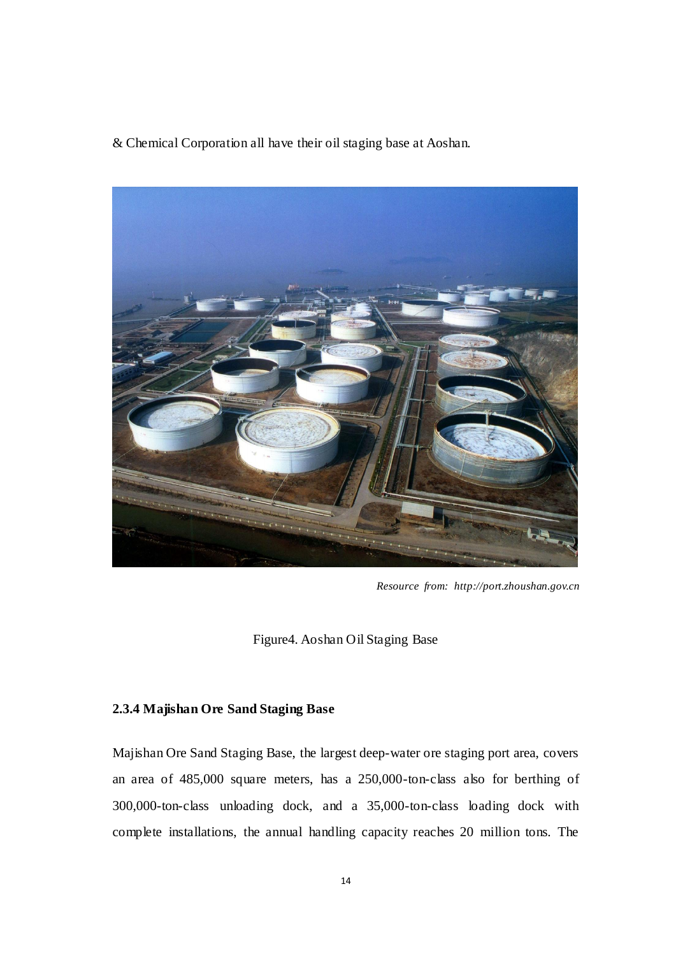& Chemical Corporation all have their oil staging base at Aoshan.



*Resource from: http://port.zhoushan.gov.cn*

Figure4. Aoshan Oil Staging Base

## <span id="page-24-0"></span>**2.3.4 Majishan Ore Sand Staging Base**

Majishan Ore Sand Staging Base, the largest deep-water ore staging port area, covers an area of 485,000 square meters, has a 250,000-ton-class also for berthing of 300,000-ton-class unloading dock, and a 35,000-ton-class loading dock with complete installations, the annual handling capacity reaches 20 million tons. The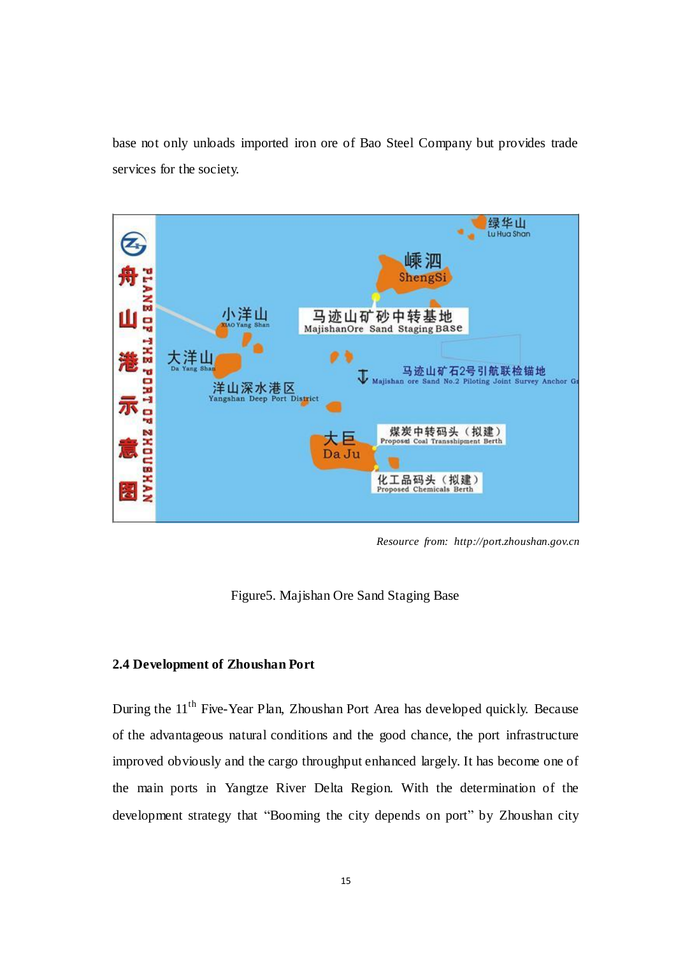base not only unloads imported iron ore of Bao Steel Company but provides trade services for the society.



*Resource from: http://port.zhoushan.gov.cn*

Figure5. Majishan Ore Sand Staging Base

## **2.4 Development of Zhoushan Port**

During the 11<sup>th</sup> Five-Year Plan, Zhoushan Port Area has developed quickly. Because of the advantageous natural conditions and the good chance, the port infrastructure improved obviously and the cargo throughput enhanced largely. It has become one of the main ports in Yangtze River Delta Region. With the determination of the development strategy that "Booming the city depends on port" by Zhoushan city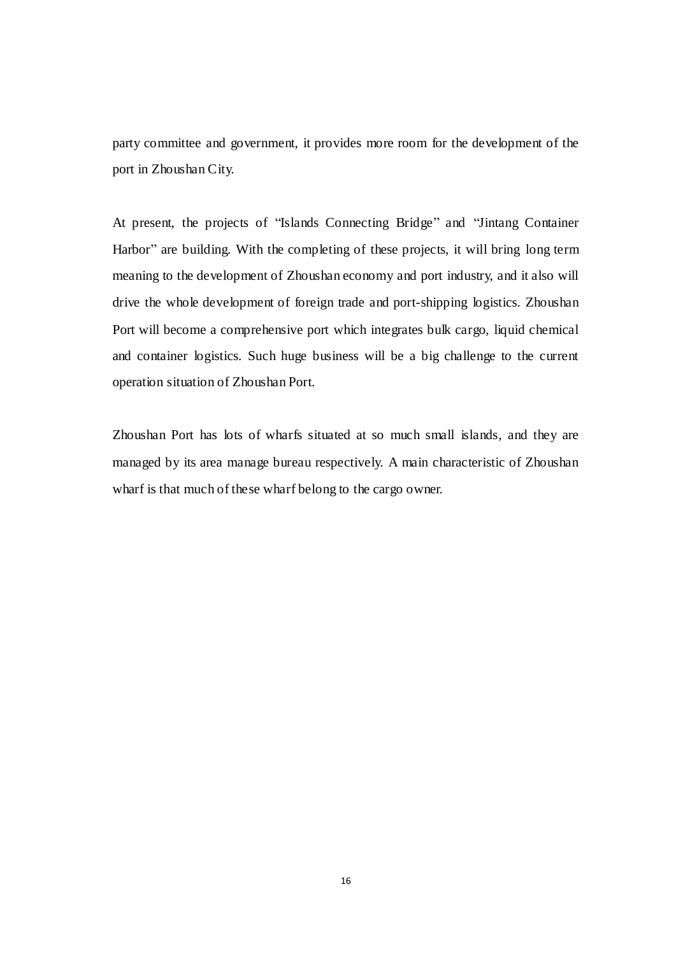<span id="page-26-0"></span>party committee and government, it provides more room for the development of the port in Zhoushan City.

<span id="page-26-1"></span>At present, the projects of "Islands Connecting Bridge" and "Jintang Container Harbor" are building. With the completing of these projects, it will bring long term meaning to the development of Zhoushan economy and port industry, and it also will drive the whole development of foreign trade and port-shipping logistics. Zhoushan Port will become a comprehensive port which integrates bulk cargo, liquid chemical and container logistics. Such huge business will be a big challenge to the current operation situation of Zhoushan Port.

Zhoushan Port has lots of wharfs situated at so much small islands, and they are managed by its area manage bureau respectively. A main characteristic of Zhoushan wharf is that much of these wharf belong to the cargo owner.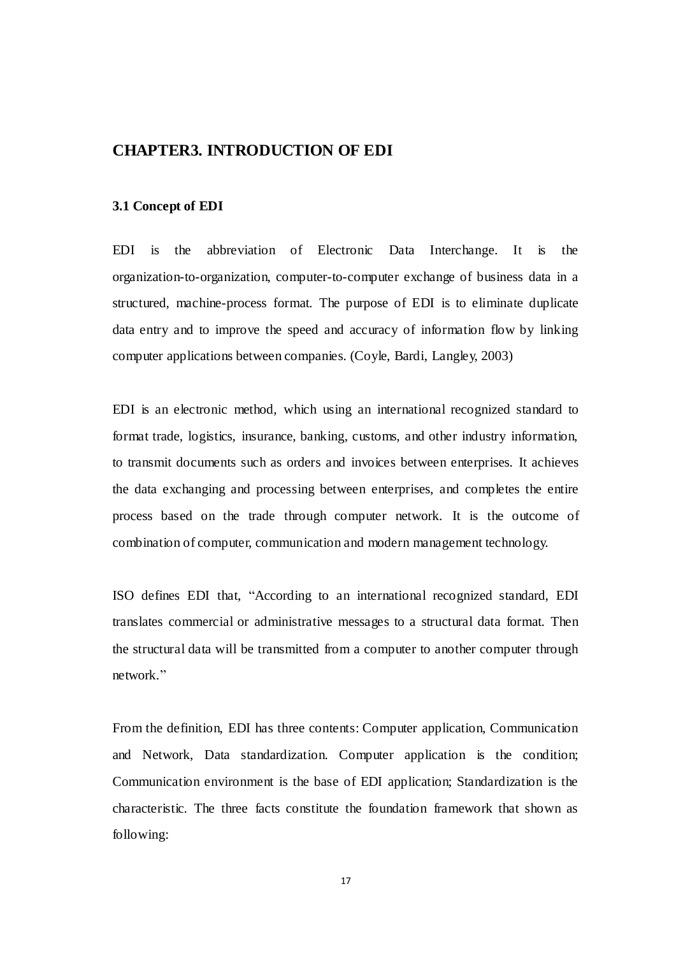## **CHAPTER3. INTRODUCTION OF EDI**

#### **3.1 Concept of EDI**

EDI is the abbreviation of Electronic Data Interchange. It is the organization-to-organization, computer-to-computer exchange of business data in a structured, machine-process format. The purpose of EDI is to eliminate duplicate data entry and to improve the speed and accuracy of information flow by linking computer applications between companies. (Coyle, Bardi, Langley, 2003)

EDI is an electronic method, which using an international recognized standard to format trade, logistics, insurance, banking, customs, and other industry information, to transmit documents such as orders and invoices between enterprises. It achieves the data exchanging and processing between enterprises, and completes the entire process based on the trade through computer network. It is the outcome of combination of computer, communication and modern management technology.

ISO defines EDI that, "According to an international recognized standard, EDI translates commercial or administrative messages to a structural data format. Then the structural data will be transmitted from a computer to another computer through network."

From the definition, EDI has three contents: Computer application, Communication and Network, Data standardization. Computer application is the condition; Communication environment is the base of EDI application; Standardization is the characteristic. The three facts constitute the foundation framework that shown as following: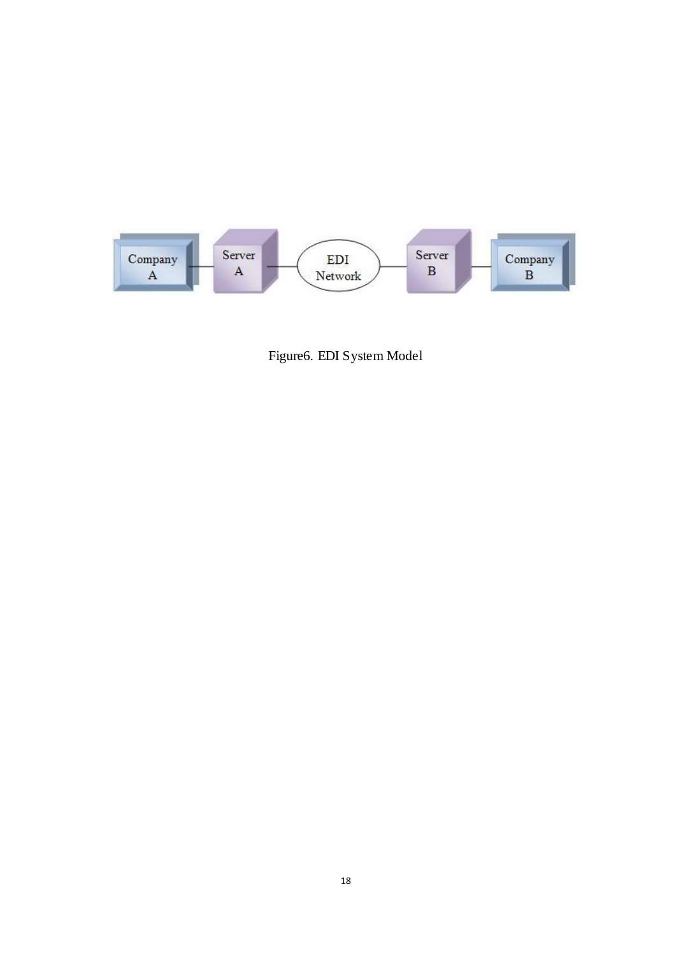

Figure6. EDI System Model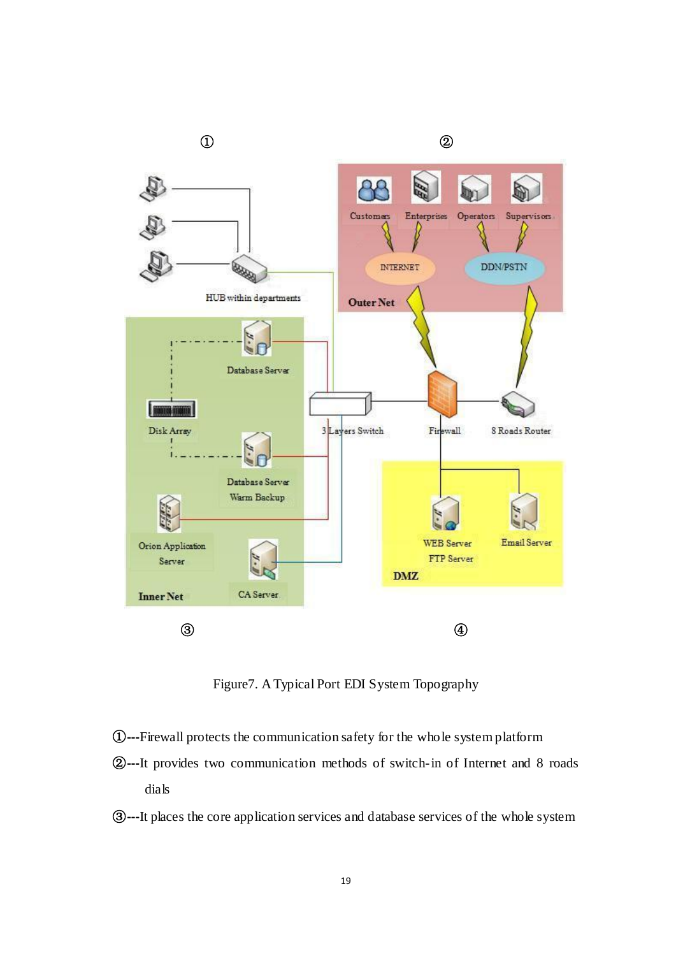<span id="page-29-1"></span><span id="page-29-0"></span>

Figure7. A Typical Port EDI System Topography

- ①**---**Firewall protects the communication safety for the whole system platform
- ②**---**It provides two communication methods of switch-in of Internet and 8 roads dials
- ③**---**It places the core application services and database services of the whole system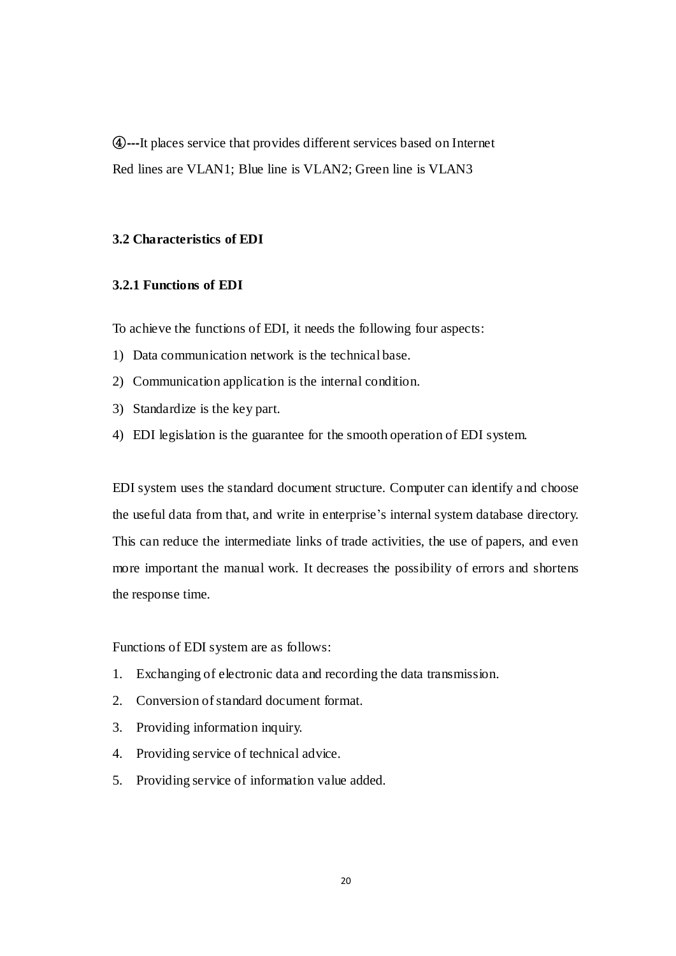<span id="page-30-0"></span>④**---**It places service that provides different services based on Internet Red lines are VLAN1; Blue line is VLAN2; Green line is VLAN3

#### **3.2 Characteristics of EDI**

#### **3.2.1 Functions of EDI**

To achieve the functions of EDI, it needs the following four aspects:

- 1) Data communication network is the technical base.
- 2) Communication application is the internal condition.
- 3) Standardize is the key part.
- 4) EDI legislation is the guarantee for the smooth operation of EDI system.

EDI system uses the standard document structure. Computer can identify and choose the useful data from that, and write in enterprise's internal system database directory. This can reduce the intermediate links of trade activities, the use of papers, and even more important the manual work. It decreases the possibility of errors and shortens the response time.

Functions of EDI system are as follows:

- 1. Exchanging of electronic data and recording the data transmission.
- 2. Conversion of standard document format.
- 3. Providing information inquiry.
- 4. Providing service of technical advice.
- 5. Providing service of information value added.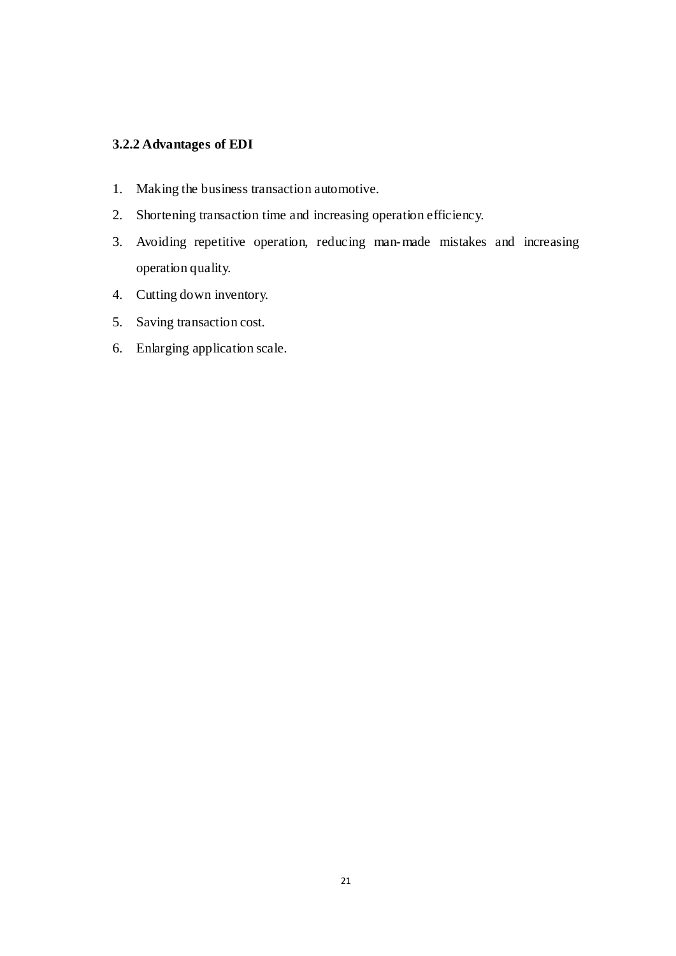## <span id="page-31-0"></span>**3.2.2 Advantages of EDI**

- <span id="page-31-1"></span>1. Making the business transaction automotive.
- 2. Shortening transaction time and increasing operation efficiency.
- 3. Avoiding repetitive operation, reducing man-made mistakes and increasing operation quality.
- 4. Cutting down inventory.
- 5. Saving transaction cost.
- <span id="page-31-3"></span><span id="page-31-2"></span>6. Enlarging application scale.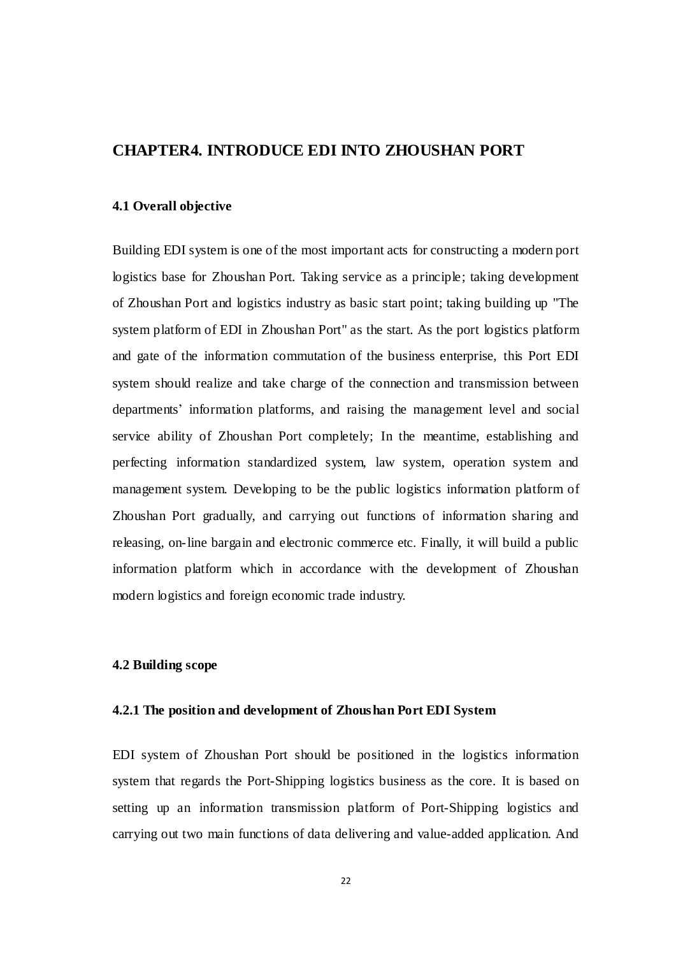## **CHAPTER4. INTRODUCE EDI INTO ZHOUSHAN PORT**

#### **4.1 Overall objective**

Building EDI system is one of the most important acts for constructing a modern port logistics base for Zhoushan Port. Taking service as a principle; taking development of Zhoushan Port and logistics industry as basic start point; taking building up "The system platform of EDI in Zhoushan Port" as the start. As the port logistics platform and gate of the information commutation of the business enterprise, this Port EDI system should realize and take charge of the connection and transmission between departments' information platforms, and raising the management level and social service ability of Zhoushan Port completely; In the meantime, establishing and perfecting information standardized system, law system, operation system and management system. Developing to be the public logistics information platform of Zhoushan Port gradually, and carrying out functions of information sharing and releasing, on-line bargain and electronic commerce etc. Finally, it will build a public information platform which in accordance with the development of Zhoushan modern logistics and foreign economic trade industry.

#### <span id="page-32-0"></span>**4.2 Building scope**

#### **4.2.1 The position and development of Zhoushan Port EDI System**

EDI system of Zhoushan Port should be positioned in the logistics information system that regards the Port-Shipping logistics business as the core. It is based on setting up an information transmission platform of Port-Shipping logistics and carrying out two main functions of data delivering and value-added application. And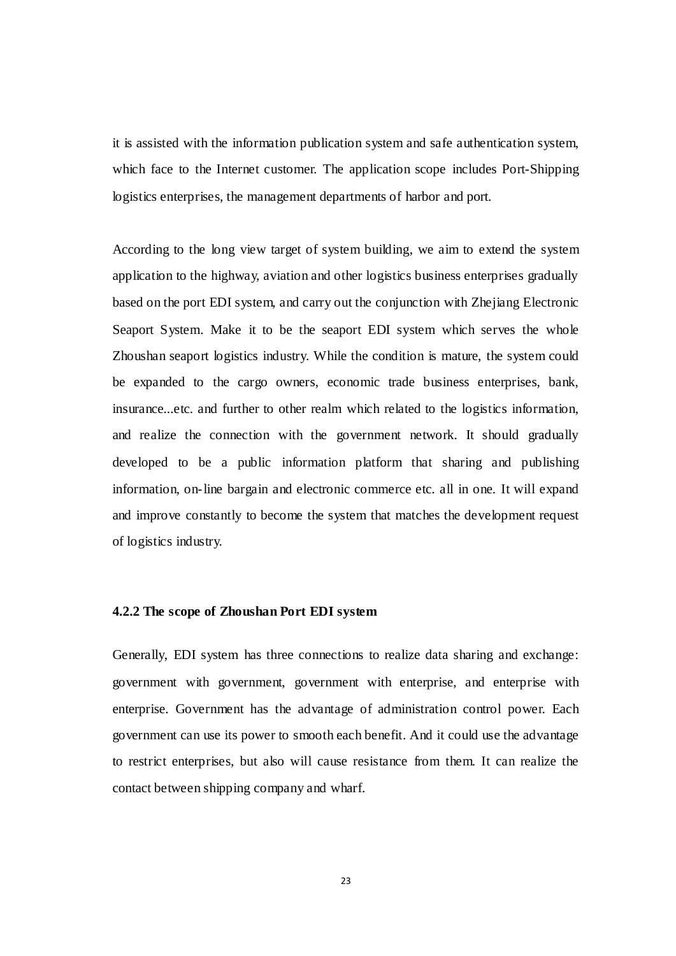it is assisted with the information publication system and safe authentication system, which face to the Internet customer. The application scope includes Port-Shipping logistics enterprises, the management departments of harbor and port.

According to the long view target of system building, we aim to extend the system application to the highway, aviation and other logistics business enterprises gradually based on the port EDI system, and carry out the conjunction with Zhejiang Electronic Seaport System. Make it to be the seaport EDI system which serves the whole Zhoushan seaport logistics industry. While the condition is mature, the system could be expanded to the cargo owners, economic trade business enterprises, bank, insurance...etc. and further to other realm which related to the logistics information, and realize the connection with the government network. It should gradually developed to be a public information platform that sharing and publishing information, on-line bargain and electronic commerce etc. all in one. It will expand and improve constantly to become the system that matches the development request of logistics industry.

#### **4.2.2 The scope of Zhoushan Port EDI system**

Generally, EDI system has three connections to realize data sharing and exchange: government with government, government with enterprise, and enterprise with enterprise. Government has the advantage of administration control power. Each government can use its power to smooth each benefit. And it could use the advantage to restrict enterprises, but also will cause resistance from them. It can realize the contact between shipping company and wharf.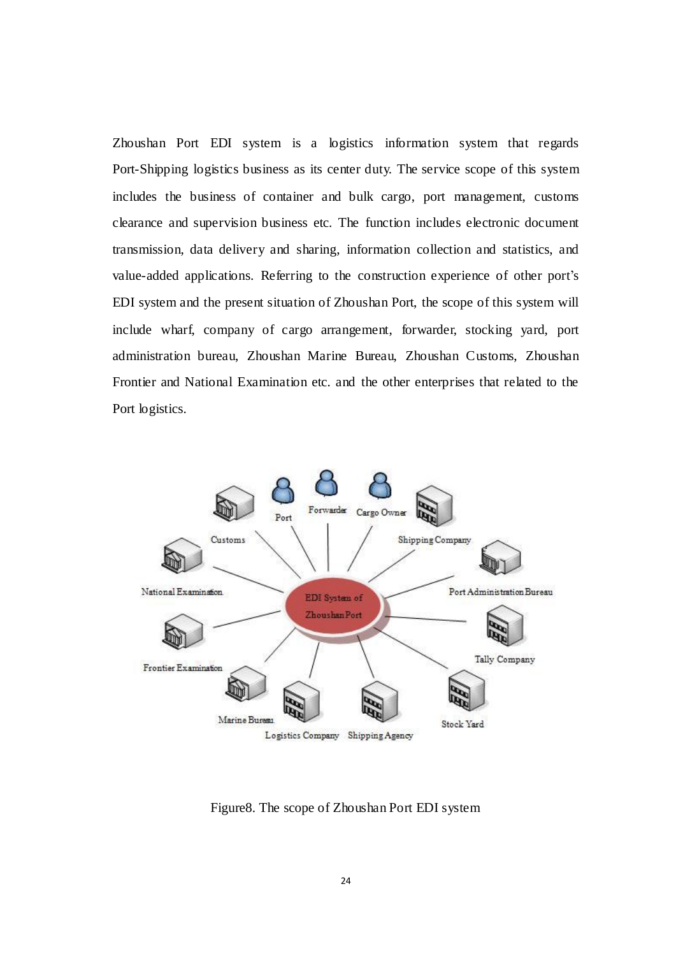Zhoushan Port EDI system is a logistics information system that regards Port-Shipping logistics business as its center duty. The service scope of this system includes the business of container and bulk cargo, port management, customs clearance and supervision business etc. The function includes electronic document transmission, data delivery and sharing, information collection and statistics, and value-added applications. Referring to the construction experience of other port's EDI system and the present situation of Zhoushan Port, the scope of this system will include wharf, company of cargo arrangement, forwarder, stocking yard, port administration bureau, Zhoushan Marine Bureau, Zhoushan Customs, Zhoushan Frontier and National Examination etc. and the other enterprises that related to the Port logistics.

<span id="page-34-1"></span><span id="page-34-0"></span>

<span id="page-34-2"></span>Figure8. The scope of Zhoushan Port EDI system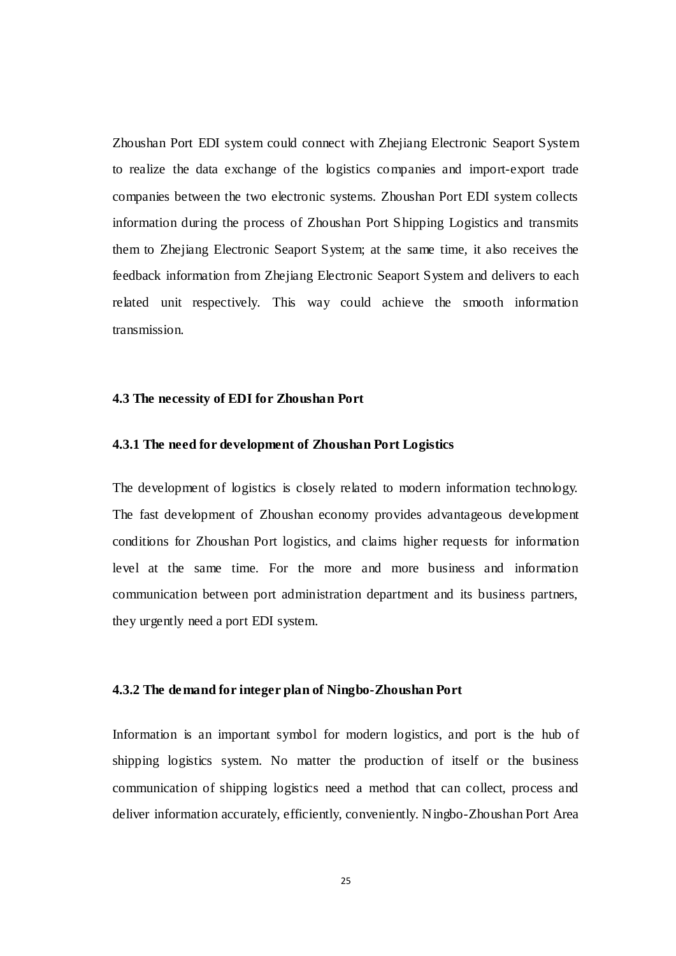<span id="page-35-0"></span>Zhoushan Port EDI system could connect with Zhejiang Electronic Seaport System to realize the data exchange of the logistics companies and import-export trade companies between the two electronic systems. Zhoushan Port EDI system collects information during the process of Zhoushan Port Shipping Logistics and transmits them to Zhejiang Electronic Seaport System; at the same time, it also receives the feedback information from Zhejiang Electronic Seaport System and delivers to each related unit respectively. This way could achieve the smooth information transmission.

#### **4.3 The necessity of EDI for Zhoushan Port**

#### **4.3.1 The need for development of Zhoushan Port Logistics**

<span id="page-35-1"></span>The development of logistics is closely related to modern information technology. The fast development of Zhoushan economy provides advantageous development conditions for Zhoushan Port logistics, and claims higher requests for information level at the same time. For the more and more business and information communication between port administration department and its business partners, they urgently need a port EDI system.

#### **4.3.2 The demand for integer plan of Ningbo-Zhoushan Port**

Information is an important symbol for modern logistics, and port is the hub of shipping logistics system. No matter the production of itself or the business communication of shipping logistics need a method that can collect, process and deliver information accurately, efficiently, conveniently. Ningbo-Zhoushan Port Area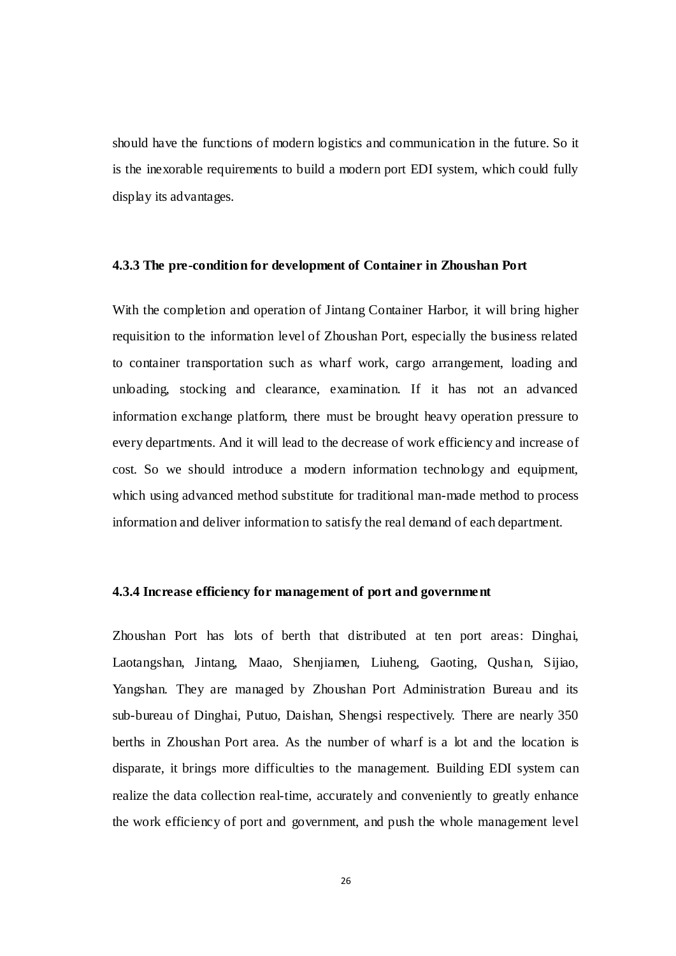<span id="page-36-0"></span>should have the functions of modern logistics and communication in the future. So it is the inexorable requirements to build a modern port EDI system, which could fully display its advantages.

#### <span id="page-36-1"></span>**4.3.3 The pre-condition for development of Container in Zhoushan Port**

With the completion and operation of Jintang Container Harbor, it will bring higher requisition to the information level of Zhoushan Port, especially the business related to container transportation such as wharf work, cargo arrangement, loading and unloading, stocking and clearance, examination. If it has not an advanced information exchange platform, there must be brought heavy operation pressure to every departments. And it will lead to the decrease of work efficiency and increase of cost. So we should introduce a modern information technology and equipment, which using advanced method substitute for traditional man-made method to process information and deliver information to satisfy the real demand of each department.

#### **4.3.4 Increase efficiency for management of port and government**

Zhoushan Port has lots of berth that distributed at ten port areas: Dinghai, Laotangshan, Jintang, Maao, Shenjiamen, Liuheng, Gaoting, Qushan, Sijiao, Yangshan. They are managed by Zhoushan Port Administration Bureau and its sub-bureau of Dinghai, Putuo, Daishan, Shengsi respectively. There are nearly 350 berths in Zhoushan Port area. As the number of wharf is a lot and the location is disparate, it brings more difficulties to the management. Building EDI system can realize the data collection real-time, accurately and conveniently to greatly enhance the work efficiency of port and government, and push the whole management level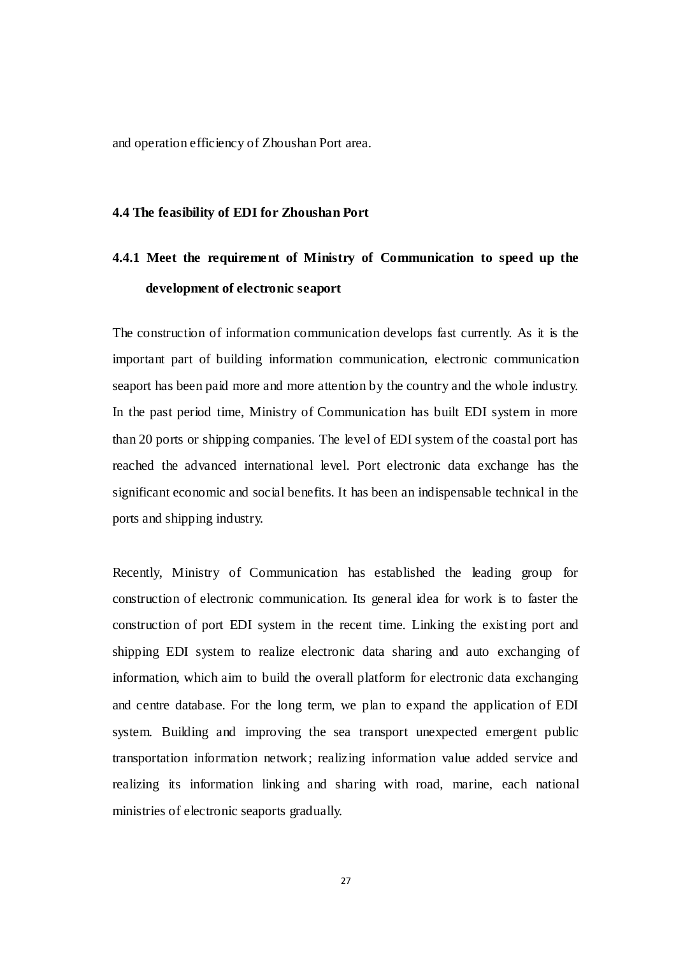and operation efficiency of Zhoushan Port area.

#### **4.4 The feasibility of EDI for Zhoushan Port**

# **4.4.1 Meet the requirement of Ministry of Communication to speed up the development of electronic seaport**

<span id="page-37-0"></span>The construction of information communication develops fast currently. As it is the important part of building information communication, electronic communication seaport has been paid more and more attention by the country and the whole industry. In the past period time, Ministry of Communication has built EDI system in more than 20 ports or shipping companies. The level of EDI system of the coastal port has reached the advanced international level. Port electronic data exchange has the significant economic and social benefits. It has been an indispensable technical in the ports and shipping industry.

Recently, Ministry of Communication has established the leading group for construction of electronic communication. Its general idea for work is to faster the construction of port EDI system in the recent time. Linking the existing port and shipping EDI system to realize electronic data sharing and auto exchanging of information, which aim to build the overall platform for electronic data exchanging and centre database. For the long term, we plan to expand the application of EDI system. Building and improving the sea transport unexpected emergent public transportation information network; realizing information value added service and realizing its information linking and sharing with road, marine, each national ministries of electronic seaports gradually.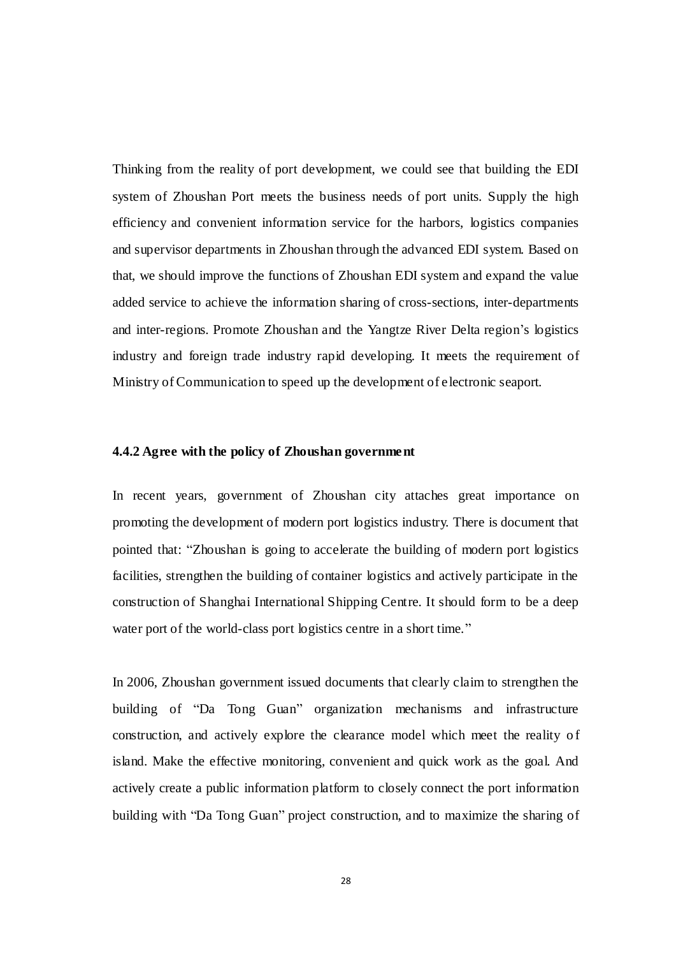<span id="page-38-0"></span>Thinking from the reality of port development, we could see that building the EDI system of Zhoushan Port meets the business needs of port units. Supply the high efficiency and convenient information service for the harbors, logistics companies and supervisor departments in Zhoushan through the advanced EDI system. Based on that, we should improve the functions of Zhoushan EDI system and expand the value added service to achieve the information sharing of cross-sections, inter-departments and inter-regions. Promote Zhoushan and the Yangtze River Delta region's logistics industry and foreign trade industry rapid developing. It meets the requirement of Ministry of Communication to speed up the development of electronic seaport.

#### **4.4.2 Agree with the policy of Zhoushan government**

In recent years, government of Zhoushan city attaches great importance on promoting the development of modern port logistics industry. There is document that pointed that: "Zhoushan is going to accelerate the building of modern port logistics facilities, strengthen the building of container logistics and actively participate in the construction of Shanghai International Shipping Centre. It should form to be a deep water port of the world-class port logistics centre in a short time."

In 2006, Zhoushan government issued documents that clearly claim to strengthen the building of "Da Tong Guan" organization mechanisms and infrastructure construction, and actively explore the clearance model which meet the reality of island. Make the effective monitoring, convenient and quick work as the goal. And actively create a public information platform to closely connect the port information building with "Da Tong Guan" project construction, and to maximize the sharing of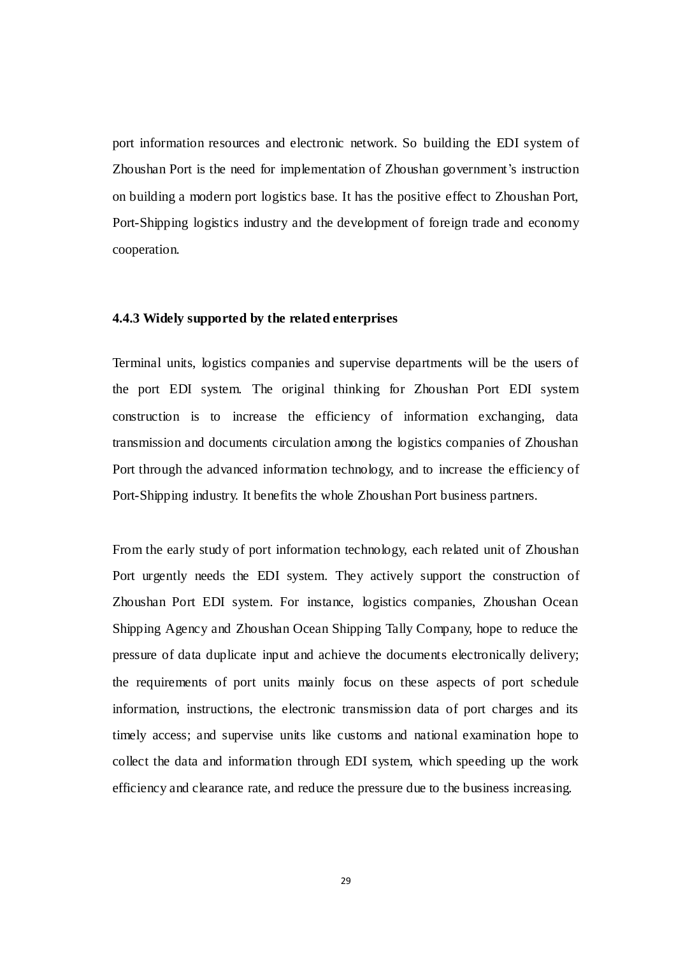port information resources and electronic network. So building the EDI system of Zhoushan Port is the need for implementation of Zhoushan government's instruction on building a modern port logistics base. It has the positive effect to Zhoushan Port, Port-Shipping logistics industry and the development of foreign trade and economy cooperation.

#### <span id="page-39-0"></span>**4.4.3 Widely supported by the related enterprises**

Terminal units, logistics companies and supervise departments will be the users of the port EDI system. The original thinking for Zhoushan Port EDI system construction is to increase the efficiency of information exchanging, data transmission and documents circulation among the logistics companies of Zhoushan Port through the advanced information technology, and to increase the efficiency of Port-Shipping industry. It benefits the whole Zhoushan Port business partners.

<span id="page-39-1"></span>From the early study of port information technology, each related unit of Zhoushan Port urgently needs the EDI system. They actively support the construction of Zhoushan Port EDI system. For instance, logistics companies, Zhoushan Ocean Shipping Agency and Zhoushan Ocean Shipping Tally Company, hope to reduce the pressure of data duplicate input and achieve the documents electronically delivery; the requirements of port units mainly focus on these aspects of port schedule information, instructions, the electronic transmission data of port charges and its timely access; and supervise units like customs and national examination hope to collect the data and information through EDI system, which speeding up the work efficiency and clearance rate, and reduce the pressure due to the business increasing.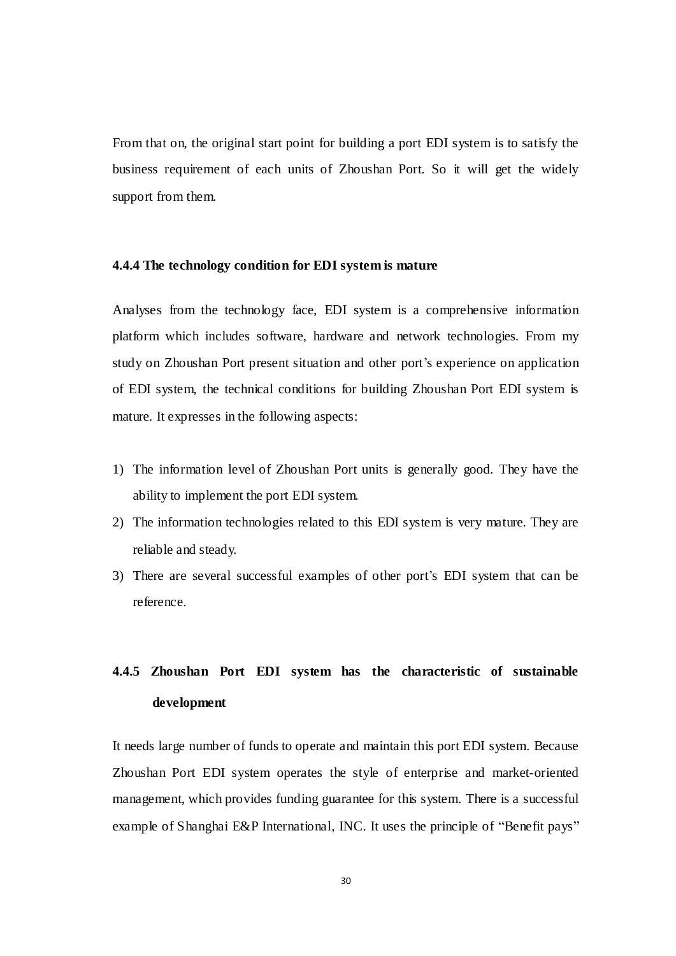From that on, the original start point for building a port EDI system is to satisfy the business requirement of each units of Zhoushan Port. So it will get the widely support from them.

#### **4.4.4 The technology condition for EDI system is mature**

Analyses from the technology face, EDI system is a comprehensive information platform which includes software, hardware and network technologies. From my study on Zhoushan Port present situation and other port's experience on application of EDI system, the technical conditions for building Zhoushan Port EDI system is mature. It expresses in the following aspects:

- 1) The information level of Zhoushan Port units is generally good. They have the ability to implement the port EDI system.
- 2) The information technologies related to this EDI system is very mature. They are reliable and steady.
- 3) There are several successful examples of other port's EDI system that can be reference.

# **4.4.5 Zhoushan Port EDI system has the characteristic of sustainable development**

It needs large number of funds to operate and maintain this port EDI system. Because Zhoushan Port EDI system operates the style of enterprise and market-oriented management, which provides funding guarantee for this system. There is a successful example of Shanghai E&P International, INC. It uses the principle of "Benefit pays"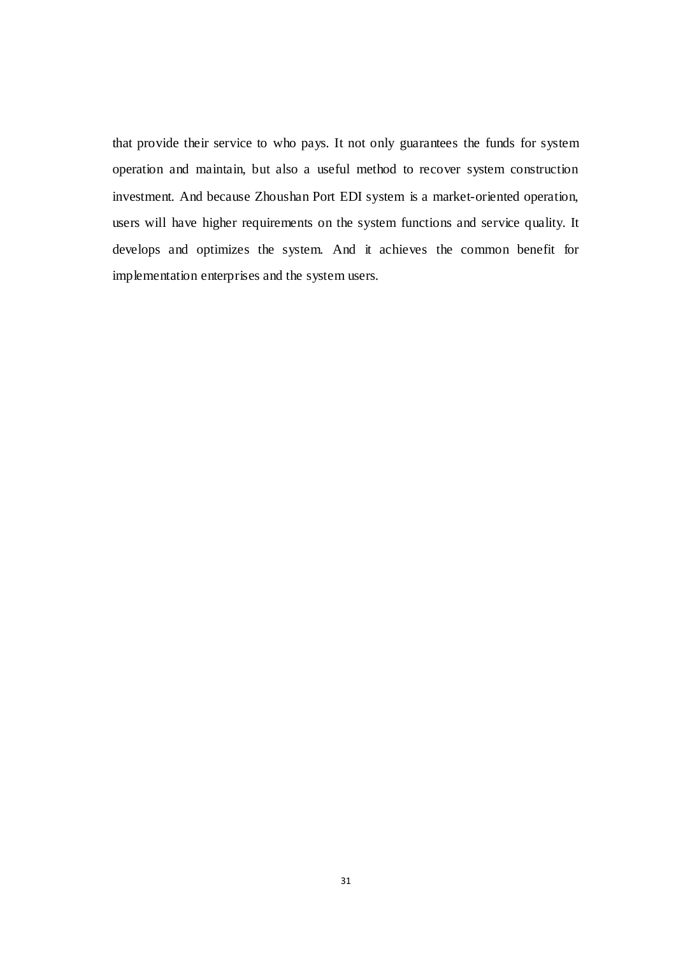<span id="page-41-2"></span><span id="page-41-1"></span><span id="page-41-0"></span>that provide their service to who pays. It not only guarantees the funds for system operation and maintain, but also a useful method to recover system construction investment. And because Zhoushan Port EDI system is a market-oriented operation, users will have higher requirements on the system functions and service quality. It develops and optimizes the system. And it achieves the common benefit for implementation enterprises and the system users.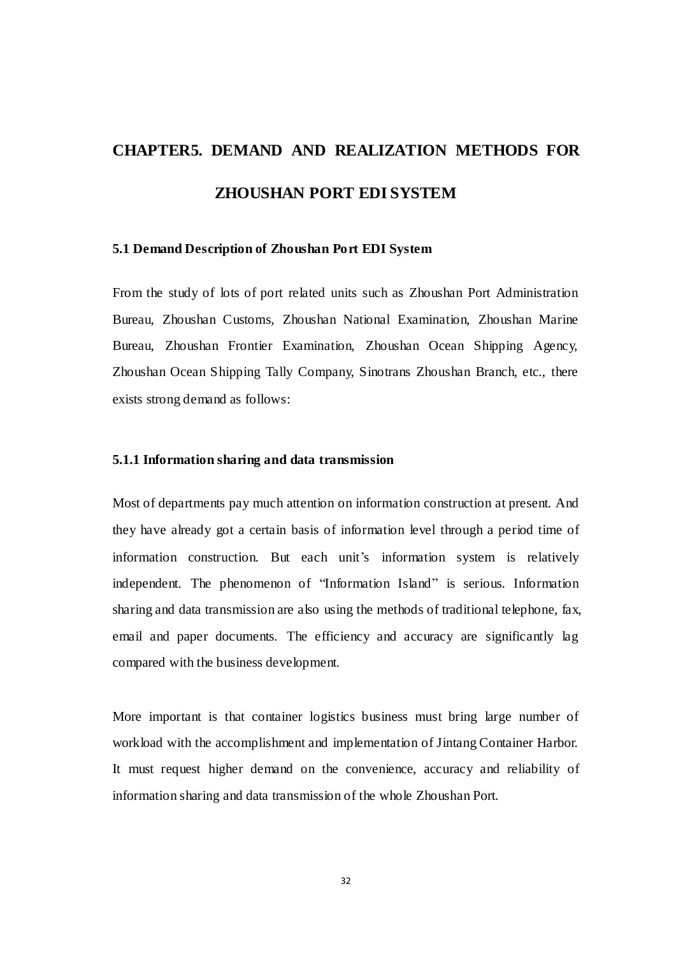# **CHAPTER5. DEMAND AND REALIZATION METHODS FOR ZHOUSHAN PORT EDI SYSTEM**

#### <span id="page-42-0"></span>**5.1 Demand Description of Zhoushan Port EDI System**

From the study of lots of port related units such as Zhoushan Port Administration Bureau, Zhoushan Customs, Zhoushan National Examination, Zhoushan Marine Bureau, Zhoushan Frontier Examination, Zhoushan Ocean Shipping Agency, Zhoushan Ocean Shipping Tally Company, Sinotrans Zhoushan Branch, etc., there exists strong demand as follows:

#### **5.1.1 Information sharing and data transmission**

<span id="page-42-1"></span>Most of departments pay much attention on information construction at present. And they have already got a certain basis of information level through a period time of information construction. But each unit's information system is relatively independent. The phenomenon of "Information Island" is serious. Information sharing and data transmission are also using the methods of traditional telephone, fax, email and paper documents. The efficiency and accuracy are significantly lag compared with the business development.

More important is that container logistics business must bring large number of workload with the accomplishment and implementation of Jintang Container Harbor. It must request higher demand on the convenience, accuracy and reliability of information sharing and data transmission of the whole Zhoushan Port.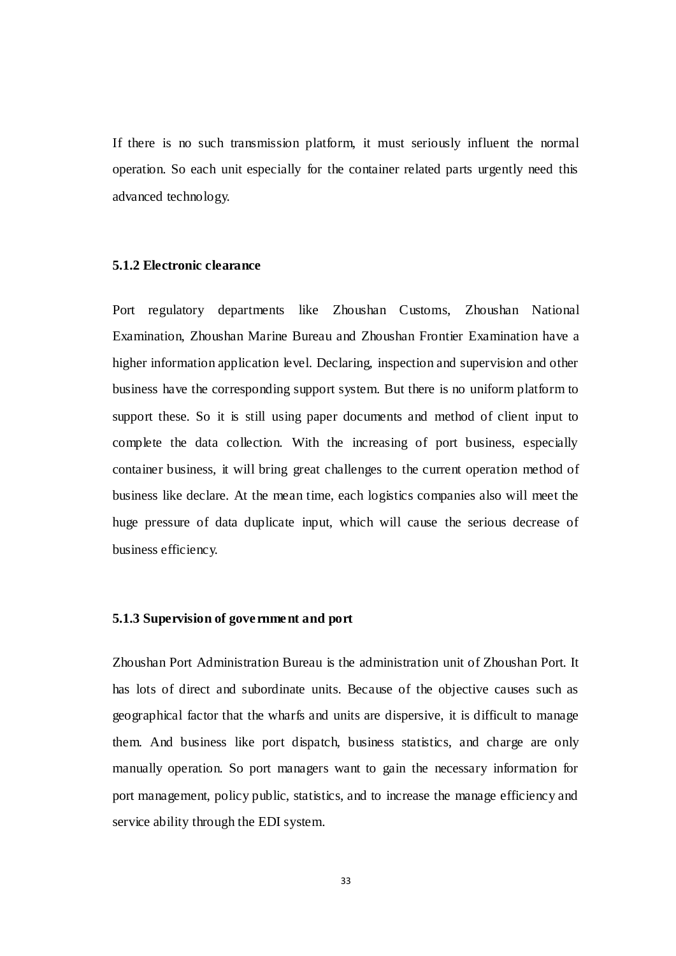<span id="page-43-0"></span>If there is no such transmission platform, it must seriously influent the normal operation. So each unit especially for the container related parts urgently need this advanced technology.

#### **5.1.2 Electronic clearance**

<span id="page-43-1"></span>Port regulatory departments like Zhoushan Customs, Zhoushan National Examination, Zhoushan Marine Bureau and Zhoushan Frontier Examination have a higher information application level. Declaring, inspection and supervision and other business have the corresponding support system. But there is no uniform platform to support these. So it is still using paper documents and method of client input to complete the data collection. With the increasing of port business, especially container business, it will bring great challenges to the current operation method of business like declare. At the mean time, each logistics companies also will meet the huge pressure of data duplicate input, which will cause the serious decrease of business efficiency.

#### **5.1.3 Supervision of government and port**

Zhoushan Port Administration Bureau is the administration unit of Zhoushan Port. It has lots of direct and subordinate units. Because of the objective causes such as geographical factor that the wharfs and units are dispersive, it is difficult to manage them. And business like port dispatch, business statistics, and charge are only manually operation. So port managers want to gain the necessary information for port management, policy public, statistics, and to increase the manage efficiency and service ability through the EDI system.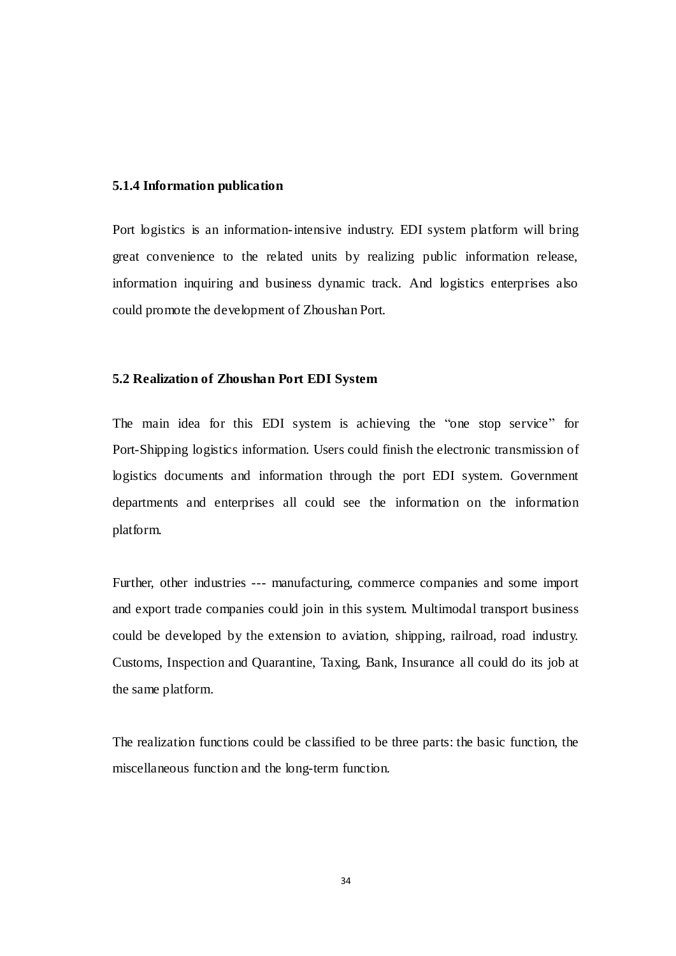#### <span id="page-44-0"></span>**5.1.4 Information publication**

Port logistics is an information-intensive industry. EDI system platform will bring great convenience to the related units by realizing public information release, information inquiring and business dynamic track. And logistics enterprises also could promote the development of Zhoushan Port.

#### **5.2 Realization of Zhoushan Port EDI System**

The main idea for this EDI system is achieving the "one stop service" for Port-Shipping logistics information. Users could finish the electronic transmission of logistics documents and information through the port EDI system. Government departments and enterprises all could see the information on the information platform.

Further, other industries --- manufacturing, commerce companies and some import and export trade companies could join in this system. Multimodal transport business could be developed by the extension to aviation, shipping, railroad, road industry. Customs, Inspection and Quarantine, Taxing, Bank, Insurance all could do its job at the same platform.

<span id="page-44-1"></span>The realization functions could be classified to be three parts: the basic function, the miscellaneous function and the long-term function.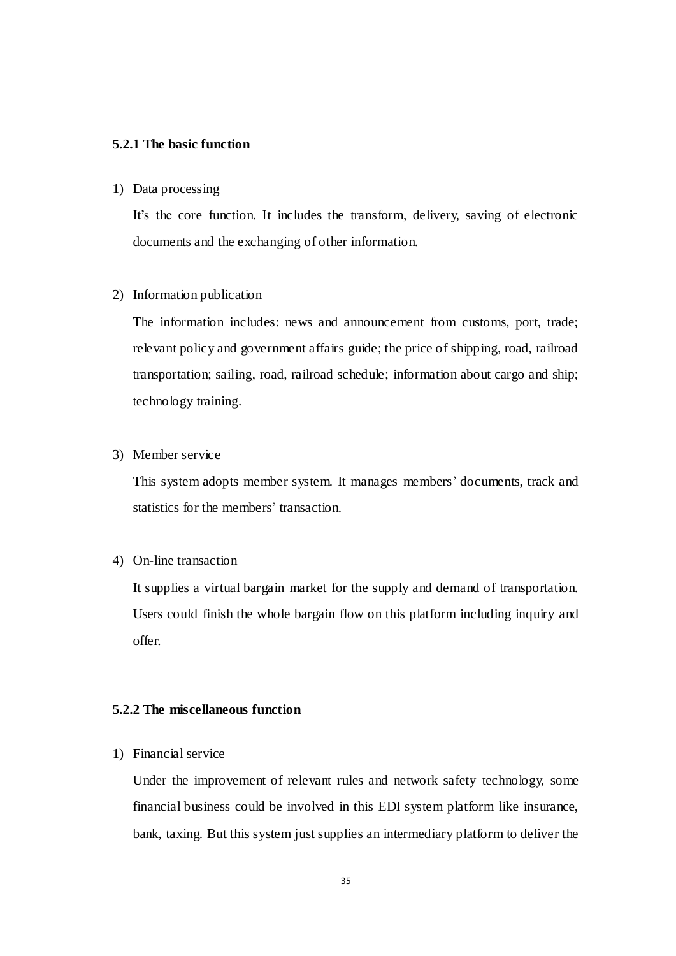#### **5.2.1 The basic function**

#### 1) Data processing

It's the core function. It includes the transform, delivery, saving of electronic documents and the exchanging of other information.

#### 2) Information publication

The information includes: news and announcement from customs, port, trade; relevant policy and government affairs guide; the price of shipping, road, railroad transportation; sailing, road, railroad schedule; information about cargo and ship; technology training.

#### <span id="page-45-0"></span>3) Member service

This system adopts member system. It manages members' documents, track and statistics for the members' transaction.

#### 4) On-line transaction

It supplies a virtual bargain market for the supply and demand of transportation. Users could finish the whole bargain flow on this platform including inquiry and offer.

#### **5.2.2 The miscellaneous function**

1) Financial service

Under the improvement of relevant rules and network safety technology, some financial business could be involved in this EDI system platform like insurance, bank, taxing. But this system just supplies an intermediary platform to deliver the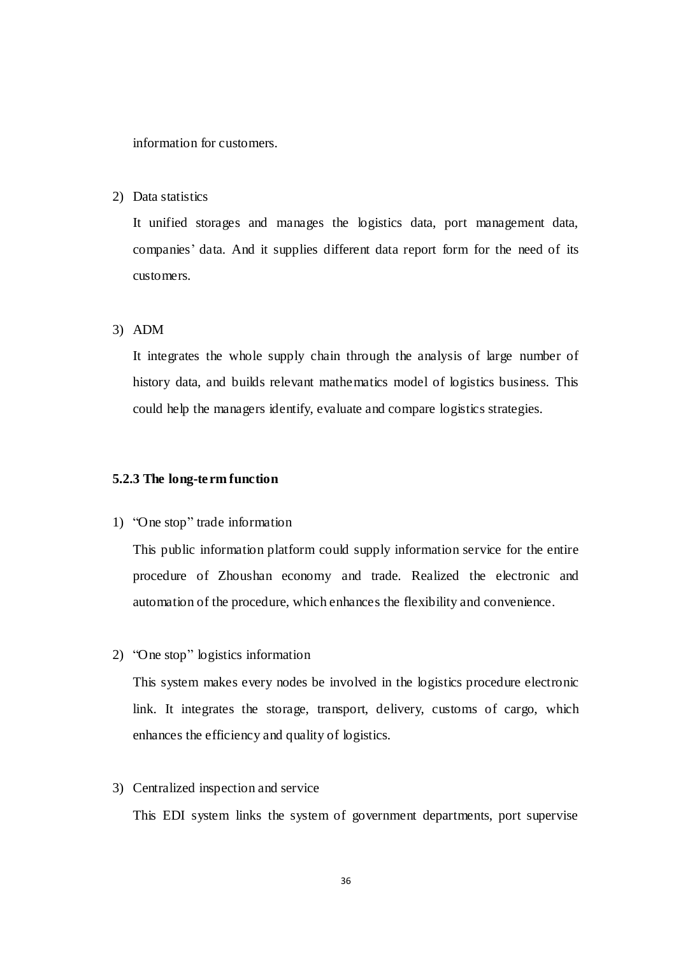information for customers.

2) Data statistics

It unified storages and manages the logistics data, port management data, companies' data. And it supplies different data report form for the need of its customers.

3) ADM

It integrates the whole supply chain through the analysis of large number of history data, and builds relevant mathematics model of logistics business. This could help the managers identify, evaluate and compare logistics strategies.

#### **5.2.3 The long-term function**

1) "One stop" trade information

This public information platform could supply information service for the entire procedure of Zhoushan economy and trade. Realized the electronic and automation of the procedure, which enhances the flexibility and convenience.

2) "One stop" logistics information

This system makes every nodes be involved in the logistics procedure electronic link. It integrates the storage, transport, delivery, customs of cargo, which enhances the efficiency and quality of logistics.

3) Centralized inspection and service

This EDI system links the system of government departments, port supervise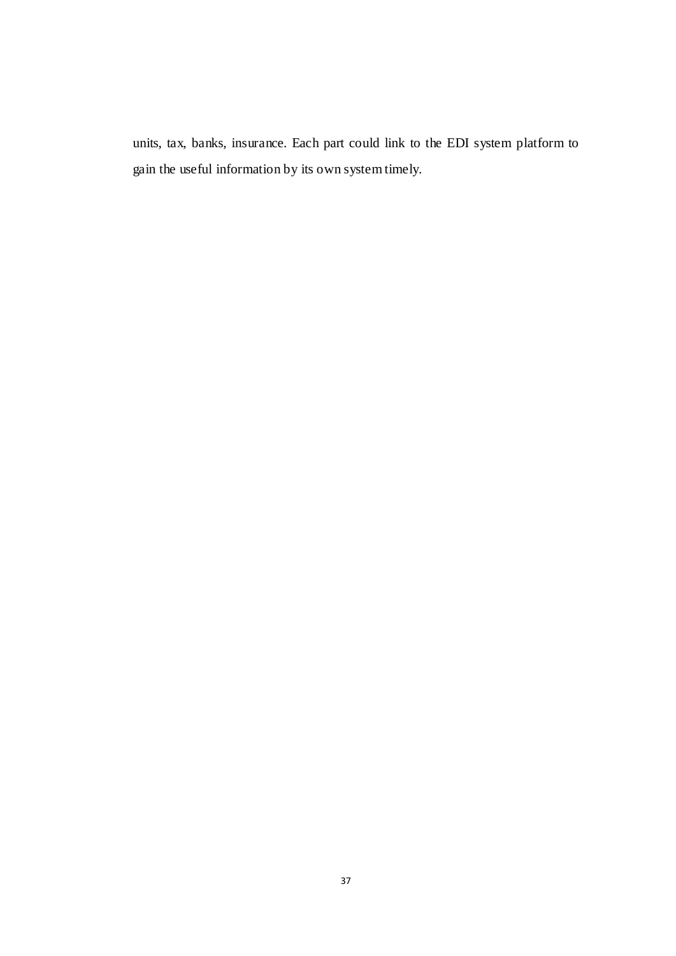<span id="page-47-3"></span><span id="page-47-2"></span><span id="page-47-1"></span><span id="page-47-0"></span>units, tax, banks, insurance. Each part could link to the EDI system platform to gain the useful information by its own system timely.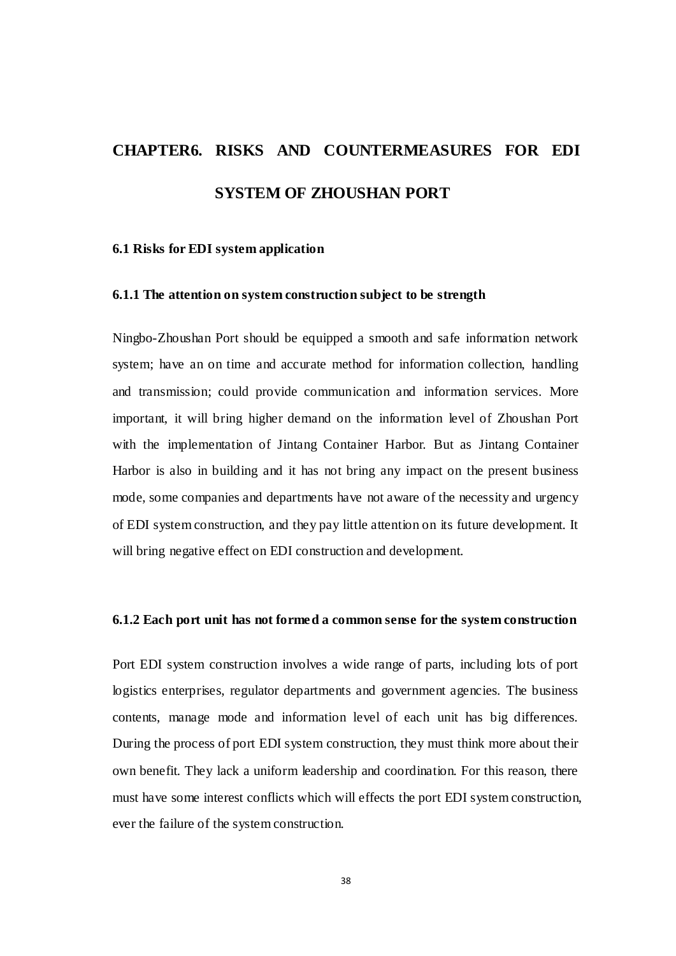# <span id="page-48-0"></span>**CHAPTER6. RISKS AND COUNTERMEASURES FOR EDI SYSTEM OF ZHOUSHAN PORT**

#### **6.1 Risks for EDI system application**

#### **6.1.1 The attention on system construction subject to be strength**

<span id="page-48-1"></span>Ningbo-Zhoushan Port should be equipped a smooth and safe information network system; have an on time and accurate method for information collection, handling and transmission; could provide communication and information services. More important, it will bring higher demand on the information level of Zhoushan Port with the implementation of Jintang Container Harbor. But as Jintang Container Harbor is also in building and it has not bring any impact on the present business mode, some companies and departments have not aware of the necessity and urgency of EDI system construction, and they pay little attention on its future development. It will bring negative effect on EDI construction and development.

#### **6.1.2 Each port unit has not formed a common sense for the system construction**

<span id="page-48-2"></span>Port EDI system construction involves a wide range of parts, including lots of port logistics enterprises, regulator departments and government agencies. The business contents, manage mode and information level of each unit has big differences. During the process of port EDI system construction, they must think more about their own benefit. They lack a uniform leadership and coordination. For this reason, there must have some interest conflicts which will effects the port EDI system construction, ever the failure of the system construction.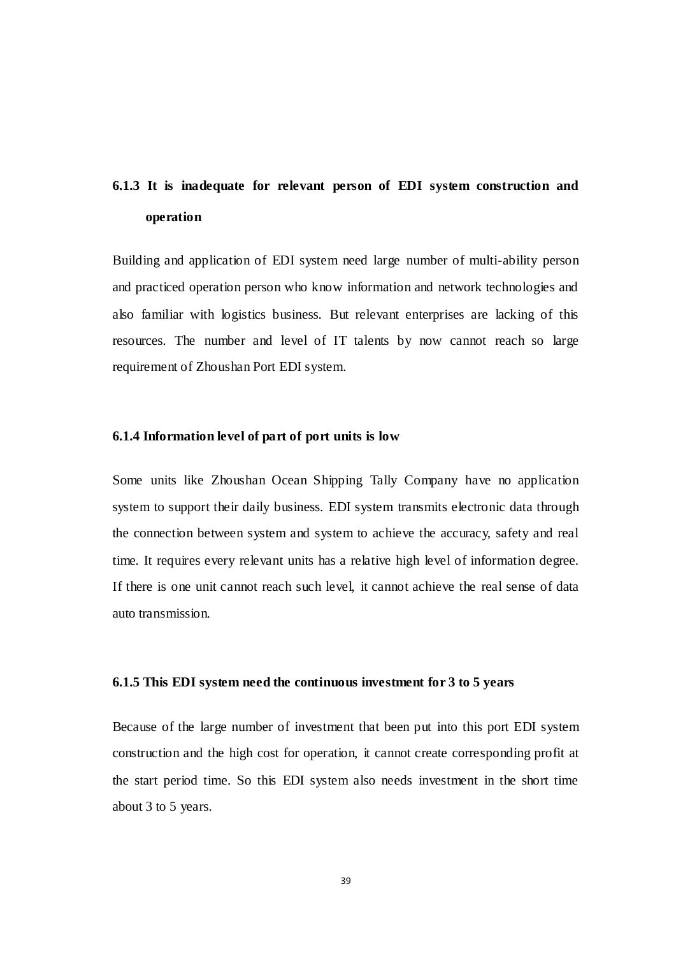# <span id="page-49-0"></span>**6.1.3 It is inadequate for relevant person of EDI system construction and operation**

Building and application of EDI system need large number of multi-ability person and practiced operation person who know information and network technologies and also familiar with logistics business. But relevant enterprises are lacking of this resources. The number and level of IT talents by now cannot reach so large requirement of Zhoushan Port EDI system.

#### **6.1.4 Information level of part of port units is low**

Some units like Zhoushan Ocean Shipping Tally Company have no application system to support their daily business. EDI system transmits electronic data through the connection between system and system to achieve the accuracy, safety and real time. It requires every relevant units has a relative high level of information degree. If there is one unit cannot reach such level, it cannot achieve the real sense of data auto transmission.

#### <span id="page-49-2"></span><span id="page-49-1"></span>**6.1.5 This EDI system need the continuous investment for 3 to 5 years**

Because of the large number of investment that been put into this port EDI system construction and the high cost for operation, it cannot create corresponding profit at the start period time. So this EDI system also needs investment in the short time about 3 to 5 years.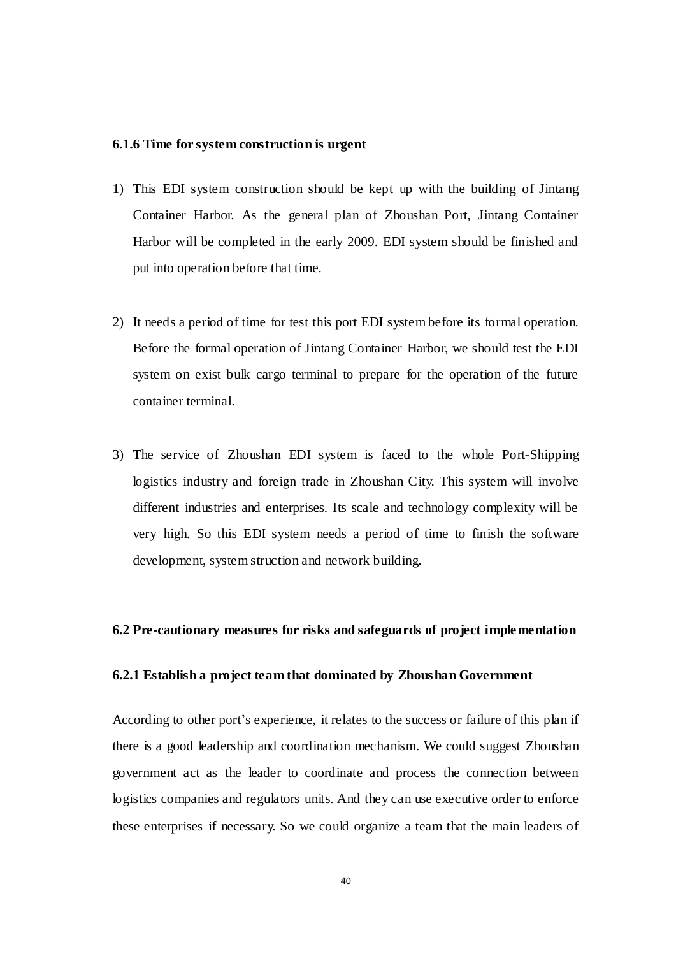#### **6.1.6 Time for system construction is urgent**

- <span id="page-50-0"></span>1) This EDI system construction should be kept up with the building of Jintang Container Harbor. As the general plan of Zhoushan Port, Jintang Container Harbor will be completed in the early 2009. EDI system should be finished and put into operation before that time.
- 2) It needs a period of time for test this port EDI system before its formal operation. Before the formal operation of Jintang Container Harbor, we should test the EDI system on exist bulk cargo terminal to prepare for the operation of the future container terminal.
- <span id="page-50-1"></span>3) The service of Zhoushan EDI system is faced to the whole Port-Shipping logistics industry and foreign trade in Zhoushan City. This system will involve different industries and enterprises. Its scale and technology complexity will be very high. So this EDI system needs a period of time to finish the software development, system struction and network building.

#### **6.2 Pre-cautionary measures for risks and safeguards of project implementation**

#### **6.2.1 Establish a project team that dominated by Zhoushan Government**

According to other port's experience, it relates to the success or failure of this plan if there is a good leadership and coordination mechanism. We could suggest Zhoushan government act as the leader to coordinate and process the connection between logistics companies and regulators units. And they can use executive order to enforce these enterprises if necessary. So we could organize a team that the main leaders of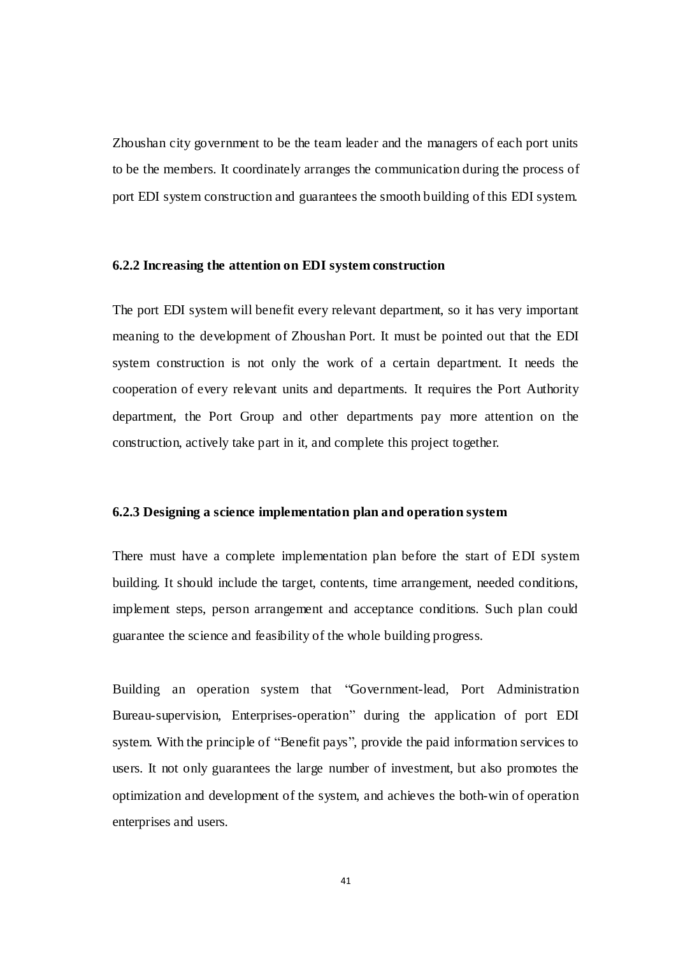<span id="page-51-0"></span>Zhoushan city government to be the team leader and the managers of each port units to be the members. It coordinately arranges the communication during the process of port EDI system construction and guarantees the smooth building of this EDI system.

#### **6.2.2 Increasing the attention on EDI system construction**

The port EDI system will benefit every relevant department, so it has very important meaning to the development of Zhoushan Port. It must be pointed out that the EDI system construction is not only the work of a certain department. It needs the cooperation of every relevant units and departments. It requires the Port Authority department, the Port Group and other departments pay more attention on the construction, actively take part in it, and complete this project together.

#### **6.2.3 Designing a science implementation plan and operation system**

There must have a complete implementation plan before the start of EDI system building. It should include the target, contents, time arrangement, needed conditions, implement steps, person arrangement and acceptance conditions. Such plan could guarantee the science and feasibility of the whole building progress.

<span id="page-51-1"></span>Building an operation system that "Government-lead, Port Administration Bureau-supervision, Enterprises-operation" during the application of port EDI system. With the principle of "Benefit pays", provide the paid information services to users. It not only guarantees the large number of investment, but also promotes the optimization and development of the system, and achieves the both-win of operation enterprises and users.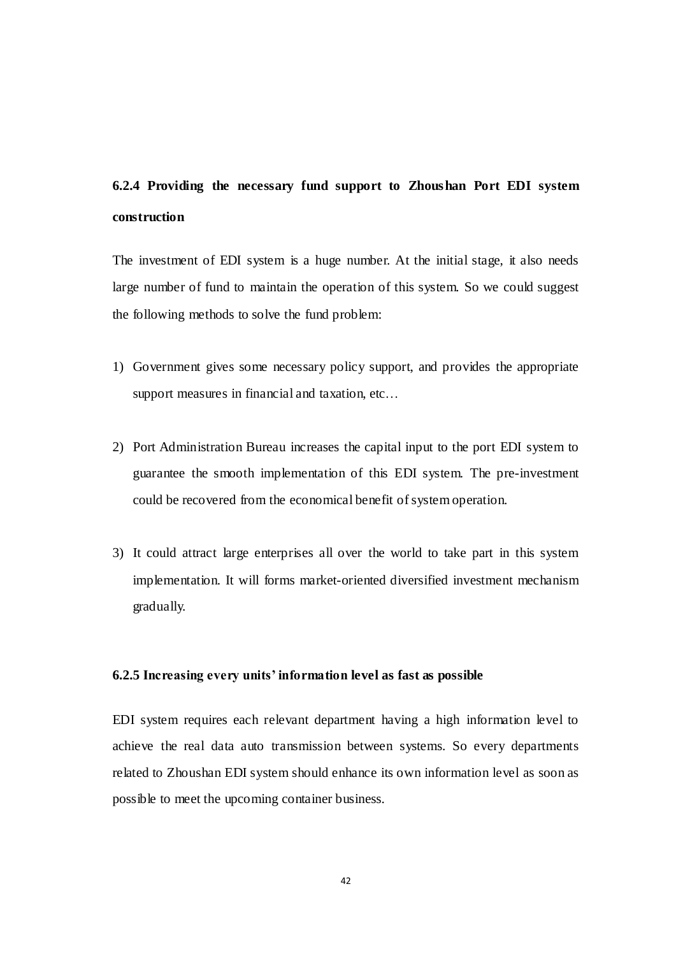# <span id="page-52-0"></span>**6.2.4 Providing the necessary fund support to Zhoushan Port EDI system construction**

The investment of EDI system is a huge number. At the initial stage, it also needs large number of fund to maintain the operation of this system. So we could suggest the following methods to solve the fund problem:

- 1) Government gives some necessary policy support, and provides the appropriate support measures in financial and taxation, etc…
- 2) Port Administration Bureau increases the capital input to the port EDI system to guarantee the smooth implementation of this EDI system. The pre-investment could be recovered from the economical benefit of system operation.
- 3) It could attract large enterprises all over the world to take part in this system implementation. It will forms market-oriented diversified investment mechanism gradually.

#### **6.2.5 Increasing every units' information level as fast as possible**

EDI system requires each relevant department having a high information level to achieve the real data auto transmission between systems. So every departments related to Zhoushan EDI system should enhance its own information level as soon as possible to meet the upcoming container business.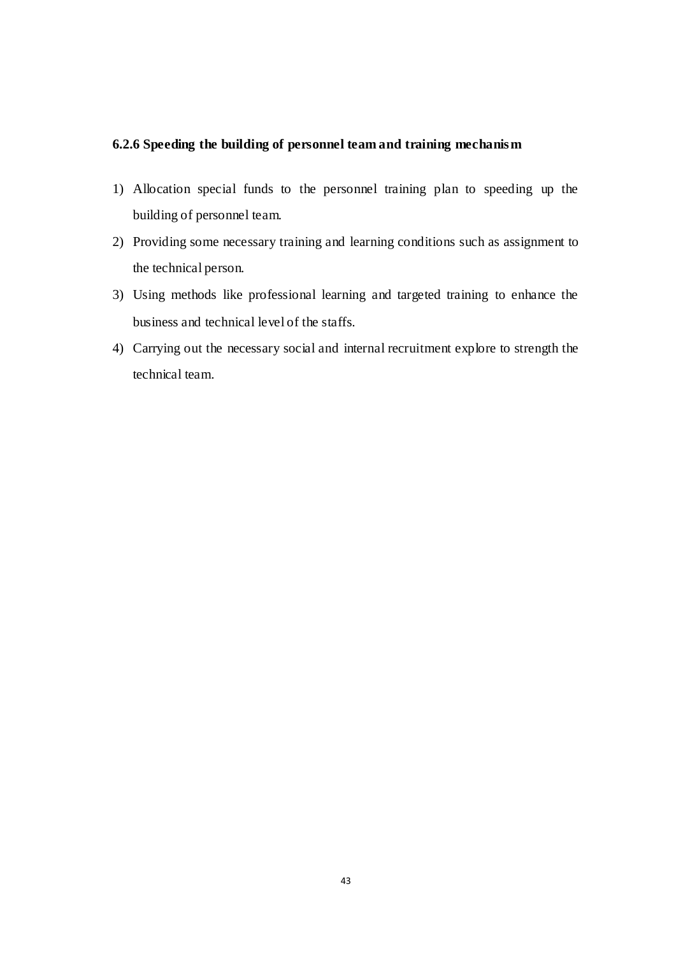## <span id="page-53-0"></span>**6.2.6 Speeding the building of personnel team and training mechanism**

- 1) Allocation special funds to the personnel training plan to speeding up the building of personnel team.
- 2) Providing some necessary training and learning conditions such as assignment to the technical person.
- 3) Using methods like professional learning and targeted training to enhance the business and technical level of the staffs.
- 4) Carrying out the necessary social and internal recruitment explore to strength the technical team.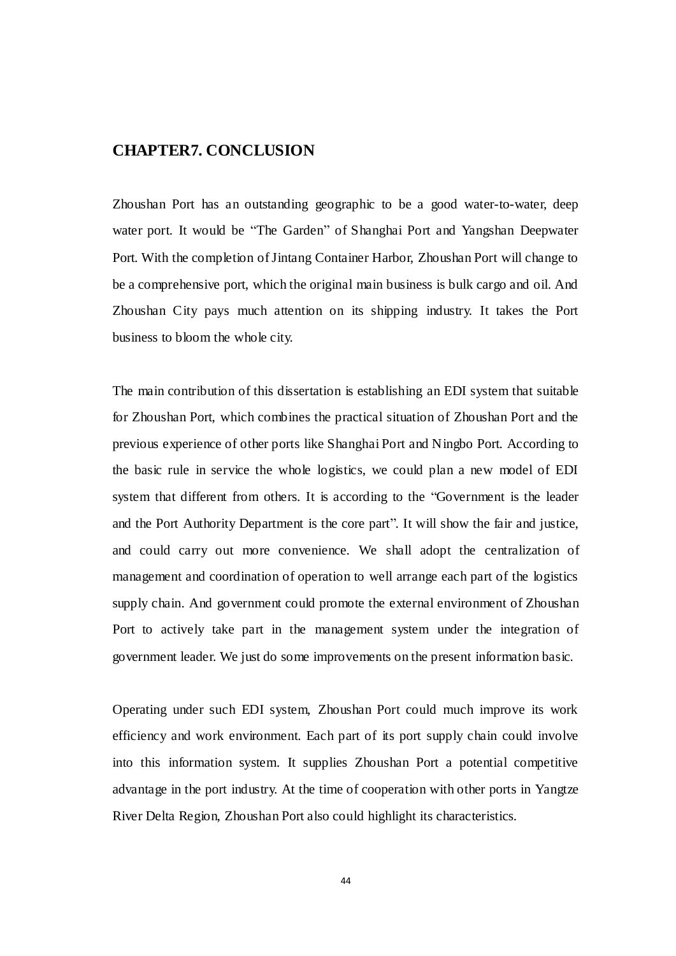## <span id="page-54-0"></span>**CHAPTER7. CONCLUSION**

Zhoushan Port has an outstanding geographic to be a good water-to-water, deep water port. It would be "The Garden" of Shanghai Port and Yangshan Deepwater Port. With the completion of Jintang Container Harbor, Zhoushan Port will change to be a comprehensive port, which the original main business is bulk cargo and oil. And Zhoushan City pays much attention on its shipping industry. It takes the Port business to bloom the whole city.

The main contribution of this dissertation is establishing an EDI system that suitable for Zhoushan Port, which combines the practical situation of Zhoushan Port and the previous experience of other ports like Shanghai Port and Ningbo Port. According to the basic rule in service the whole logistics, we could plan a new model of EDI system that different from others. It is according to the "Government is the leader and the Port Authority Department is the core part". It will show the fair and justice, and could carry out more convenience. We shall adopt the centralization of management and coordination of operation to well arrange each part of the logistics supply chain. And government could promote the external environment of Zhoushan Port to actively take part in the management system under the integration of government leader. We just do some improvements on the present information basic.

Operating under such EDI system, Zhoushan Port could much improve its work efficiency and work environment. Each part of its port supply chain could involve into this information system. It supplies Zhoushan Port a potential competitive advantage in the port industry. At the time of cooperation with other ports in Yangtze River Delta Region, Zhoushan Port also could highlight its characteristics.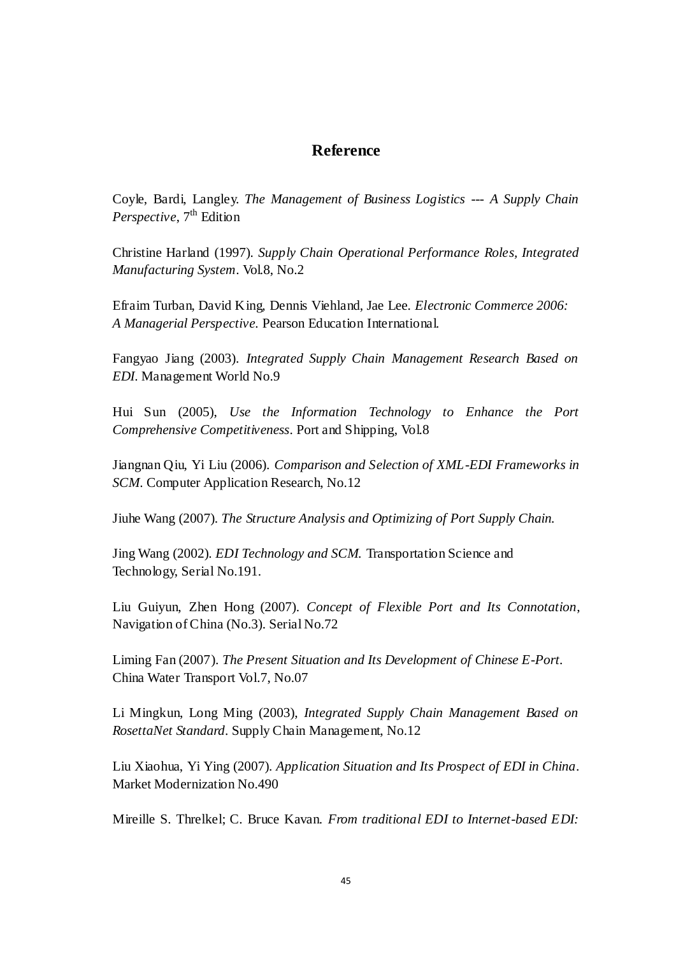## **Reference**

Coyle, Bardi, Langley. *The Management of Business Logistics --- A Supply Chain Perspective*, 7<sup>th</sup> Edition

Christine Harland (1997). *Supply Chain Operational Performance Roles, Integrated Manufacturing System*. Vol.8, No.2

Efraim Turban, David King, Dennis Viehland, Jae Lee. *Electronic Commerce 2006: A Managerial Perspective.* Pearson Education International.

Fangyao Jiang (2003). *Integrated Supply Chain Management Research Based on EDI*. Management World No.9

Hui Sun (2005), *Use the Information Technology to Enhance the Port Comprehensive Competitiveness*. Port and Shipping, Vol.8

Jiangnan Qiu, Yi Liu (2006). *Comparison and Selection of XML-EDI Frameworks in SCM*. Computer Application Research, No.12

Jiuhe Wang (2007). *The Structure Analysis and Optimizing of Port Supply Chain.*

Jing Wang (2002). *EDI Technology and SCM.* Transportation Science and Technology, Serial No.191.

Liu Guiyun, Zhen Hong (2007). *Concept of Flexible Port and Its Connotation*, Navigation of China (No.3). Serial No.72

Liming Fan (2007). *The Present Situation and Its Development of Chinese E-Port.* China Water Transport Vol.7, No.07

Li Mingkun, Long Ming (2003), *Integrated Supply Chain Management Based on RosettaNet Standard*. Supply Chain Management, No.12

Liu Xiaohua, Yi Ying (2007). *Application Situation and Its Prospect of EDI in China*. Market Modernization No.490

Mireille S. Threlkel; C. Bruce Kavan. *From traditional EDI to Internet-based EDI:*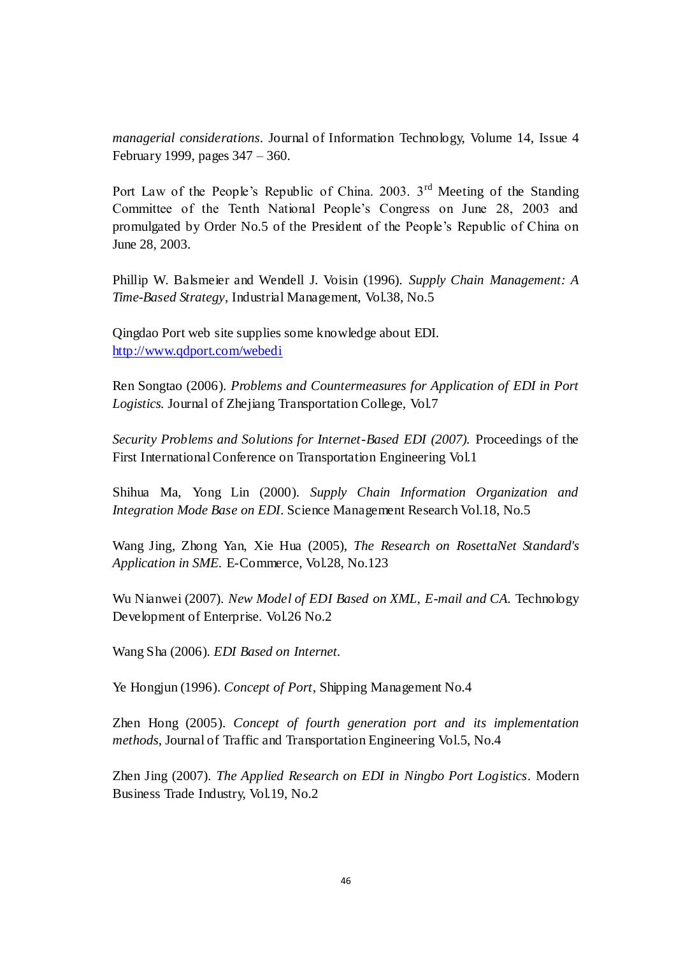*managerial considerations*. Journal of Information Technology, Volume 14, Issue 4 February 1999, pages 347 – 360.

Port Law of the People's Republic of China. 2003. 3<sup>rd</sup> Meeting of the Standing Committee of the Tenth National People's Congress on June 28, 2003 and promulgated by Order No.5 of the President of the People's Republic of China on June 28, 2003.

Phillip W. Balsmeier and Wendell J. Voisin (1996). *Supply Chain Management: A Time-Based Strategy*, Industrial Management, Vol.38, No.5

Qingdao Port web site supplies some knowledge about EDI. <http://www.qdport.com/webedi>

Ren Songtao (2006). *Problems and Countermeasures for Application of EDI in Port Logistics.* Journal of Zhejiang Transportation College, Vol.7

*Security Problems and Solutions for Internet-Based EDI (2007).* Proceedings of the First International Conference on Transportation Engineering Vol.1

Shihua Ma, Yong Lin (2000). *Supply Chain Information Organization and Integration Mode Base on EDI*. Science Management Research Vol.18, No.5

Wang Jing, Zhong Yan, Xie Hua (2005), *The Research on RosettaNet Standard's Application in SME.* E-Commerce, Vol.28, No.123

Wu Nianwei (2007). *New Model of EDI Based on XML, E-mail and CA.* Technology Development of Enterprise. Vol.26 No.2

Wang Sha (2006). *EDI Based on Internet.*

Ye Hongjun (1996). *Concept of Port*, Shipping Management No.4

Zhen Hong (2005). *Concept of fourth generation port and its implementation methods*, Journal of Traffic and Transportation Engineering Vol.5, No.4

Zhen Jing (2007). *The Applied Research on EDI in Ningbo Port Logistics*. Modern Business Trade Industry, Vol.19, No.2